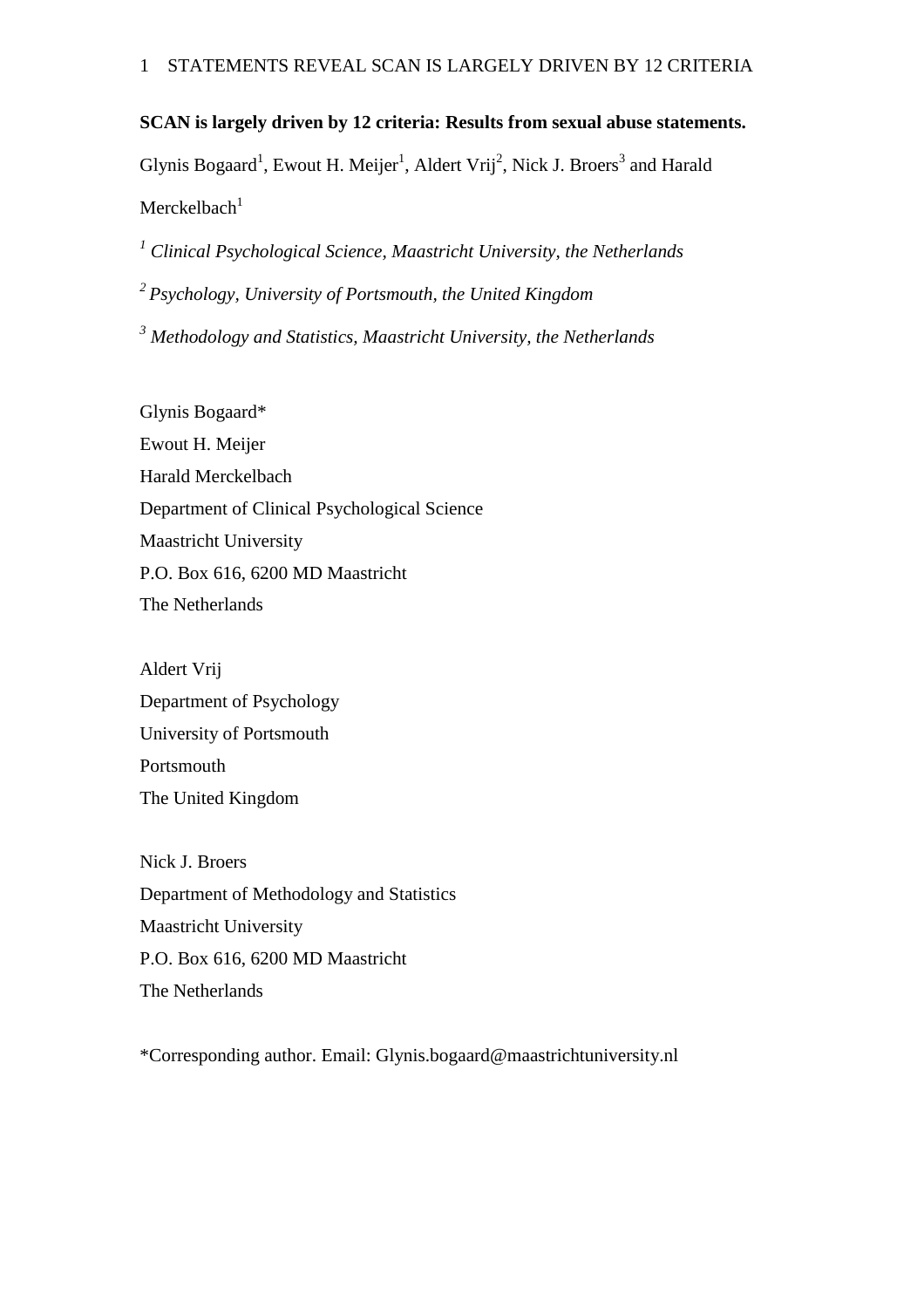## **SCAN is largely driven by 12 criteria: Results from sexual abuse statements.**

Glynis Bogaard<sup>1</sup>, Ewout H. Meijer<sup>1</sup>, Aldert Vrij<sup>2</sup>, Nick J. Broers<sup>3</sup> and Harald  $Merckelbach<sup>1</sup>$ 

*<sup>1</sup> Clinical Psychological Science, Maastricht University, the Netherlands*

*<sup>2</sup>Psychology, University of Portsmouth, the United Kingdom*

*<sup>3</sup> Methodology and Statistics, Maastricht University, the Netherlands*

Glynis Bogaard\* Ewout H. Meijer Harald Merckelbach Department of Clinical Psychological Science Maastricht University P.O. Box 616, 6200 MD Maastricht The Netherlands

Aldert Vrij Department of Psychology University of Portsmouth Portsmouth The United Kingdom

Nick J. Broers Department of Methodology and Statistics Maastricht University P.O. Box 616, 6200 MD Maastricht The Netherlands

\*Corresponding author. Email: Glynis.bogaard@maastrichtuniversity.nl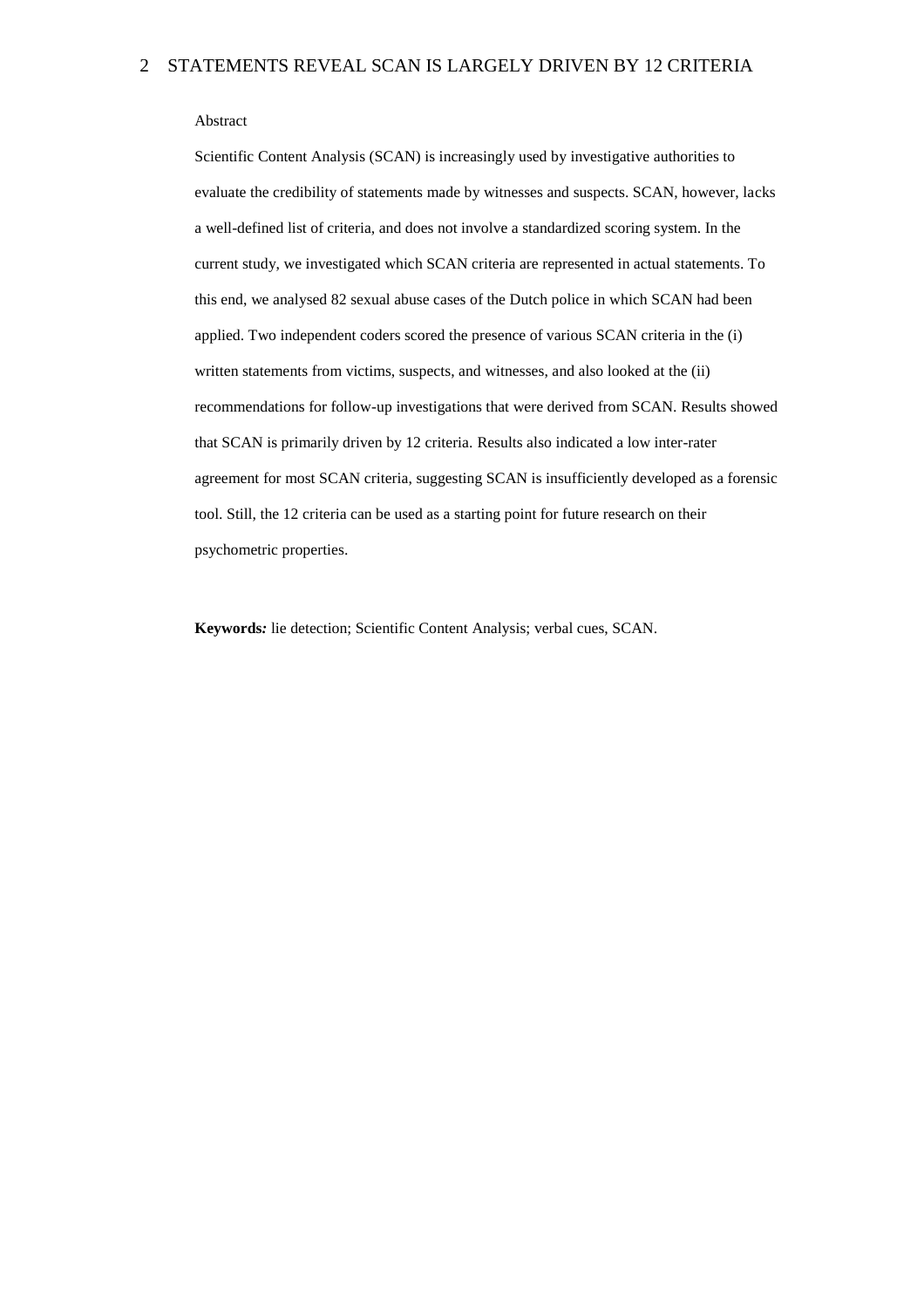#### Abstract

Scientific Content Analysis (SCAN) is increasingly used by investigative authorities to evaluate the credibility of statements made by witnesses and suspects. SCAN, however, lacks a well-defined list of criteria, and does not involve a standardized scoring system. In the current study, we investigated which SCAN criteria are represented in actual statements. To this end, we analysed 82 sexual abuse cases of the Dutch police in which SCAN had been applied. Two independent coders scored the presence of various SCAN criteria in the (i) written statements from victims, suspects, and witnesses, and also looked at the (ii) recommendations for follow-up investigations that were derived from SCAN. Results showed that SCAN is primarily driven by 12 criteria. Results also indicated a low inter-rater agreement for most SCAN criteria, suggesting SCAN is insufficiently developed as a forensic tool. Still, the 12 criteria can be used as a starting point for future research on their psychometric properties.

**Keywords***:* lie detection; Scientific Content Analysis; verbal cues, SCAN.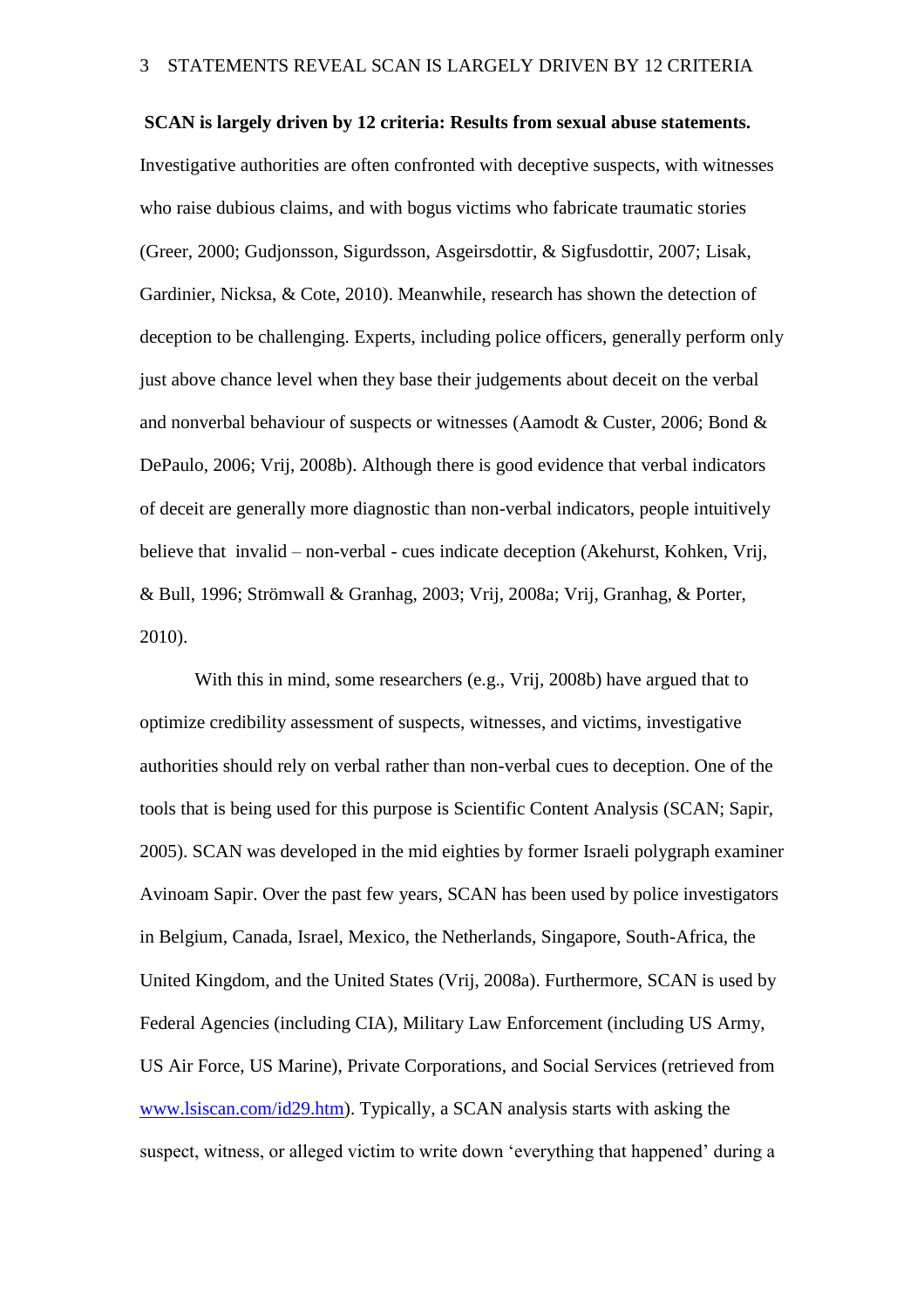**SCAN is largely driven by 12 criteria: Results from sexual abuse statements.**

Investigative authorities are often confronted with deceptive suspects, with witnesses who raise dubious claims, and with bogus victims who fabricate traumatic stories (Greer, 2000; Gudjonsson, Sigurdsson, Asgeirsdottir, & Sigfusdottir, 2007; Lisak, Gardinier, Nicksa, & Cote, 2010). Meanwhile, research has shown the detection of deception to be challenging. Experts, including police officers, generally perform only just above chance level when they base their judgements about deceit on the verbal and nonverbal behaviour of suspects or witnesses (Aamodt & Custer, 2006; Bond & DePaulo, 2006; Vrij, 2008b). Although there is good evidence that verbal indicators of deceit are generally more diagnostic than non-verbal indicators, people intuitively believe that invalid – non-verbal - cues indicate deception (Akehurst, Kohken, Vrij, & Bull, 1996; Strömwall & Granhag, 2003; Vrij, 2008a; Vrij, Granhag, & Porter, 2010).

With this in mind, some researchers (e.g., Vrij, 2008b) have argued that to optimize credibility assessment of suspects, witnesses, and victims, investigative authorities should rely on verbal rather than non-verbal cues to deception. One of the tools that is being used for this purpose is Scientific Content Analysis (SCAN; Sapir, 2005). SCAN was developed in the mid eighties by former Israeli polygraph examiner Avinoam Sapir. Over the past few years, SCAN has been used by police investigators in Belgium, Canada, Israel, Mexico, the Netherlands, Singapore, South-Africa, the United Kingdom, and the United States (Vrij, 2008a). Furthermore, SCAN is used by Federal Agencies (including CIA), Military Law Enforcement (including US Army, US Air Force, US Marine), Private Corporations, and Social Services (retrieved from [www.lsiscan.com/id29.htm\)](http://www.lsiscan.com/id29.htm). Typically, a SCAN analysis starts with asking the suspect, witness, or alleged victim to write down 'everything that happened' during a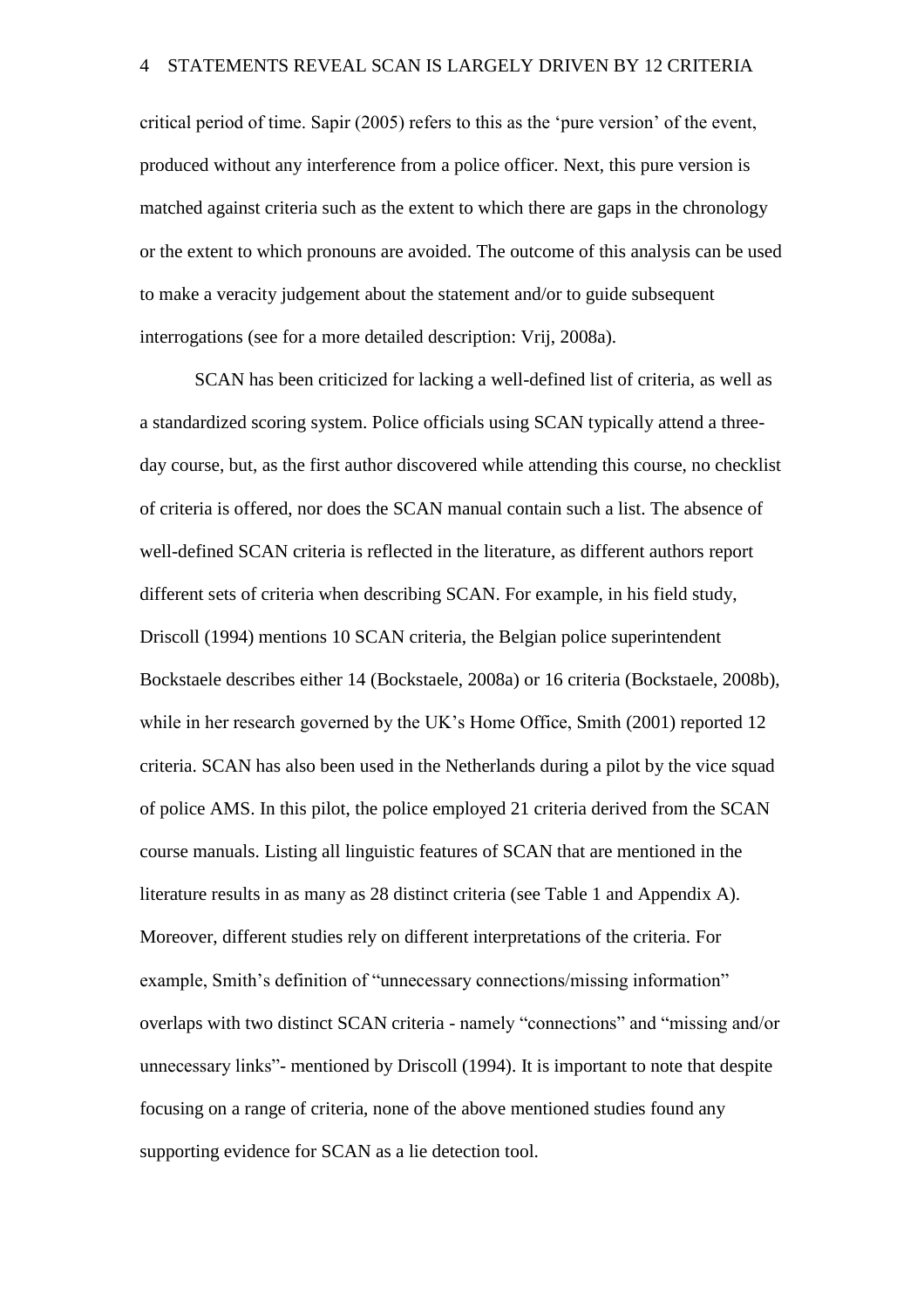critical period of time. Sapir (2005) refers to this as the 'pure version' of the event, produced without any interference from a police officer. Next, this pure version is matched against criteria such as the extent to which there are gaps in the chronology or the extent to which pronouns are avoided. The outcome of this analysis can be used to make a veracity judgement about the statement and/or to guide subsequent interrogations (see for a more detailed description: Vrij, 2008a).

SCAN has been criticized for lacking a well-defined list of criteria, as well as a standardized scoring system. Police officials using SCAN typically attend a threeday course, but, as the first author discovered while attending this course, no checklist of criteria is offered, nor does the SCAN manual contain such a list. The absence of well-defined SCAN criteria is reflected in the literature, as different authors report different sets of criteria when describing SCAN. For example, in his field study, Driscoll (1994) mentions 10 SCAN criteria, the Belgian police superintendent Bockstaele describes either 14 (Bockstaele, 2008a) or 16 criteria (Bockstaele, 2008b), while in her research governed by the UK's Home Office, Smith (2001) reported 12 criteria. SCAN has also been used in the Netherlands during a pilot by the vice squad of police AMS. In this pilot, the police employed 21 criteria derived from the SCAN course manuals. Listing all linguistic features of SCAN that are mentioned in the literature results in as many as 28 distinct criteria (see Table 1 and Appendix A). Moreover, different studies rely on different interpretations of the criteria. For example, Smith's definition of "unnecessary connections/missing information" overlaps with two distinct SCAN criteria - namely "connections" and "missing and/or unnecessary links"- mentioned by Driscoll (1994). It is important to note that despite focusing on a range of criteria, none of the above mentioned studies found any supporting evidence for SCAN as a lie detection tool.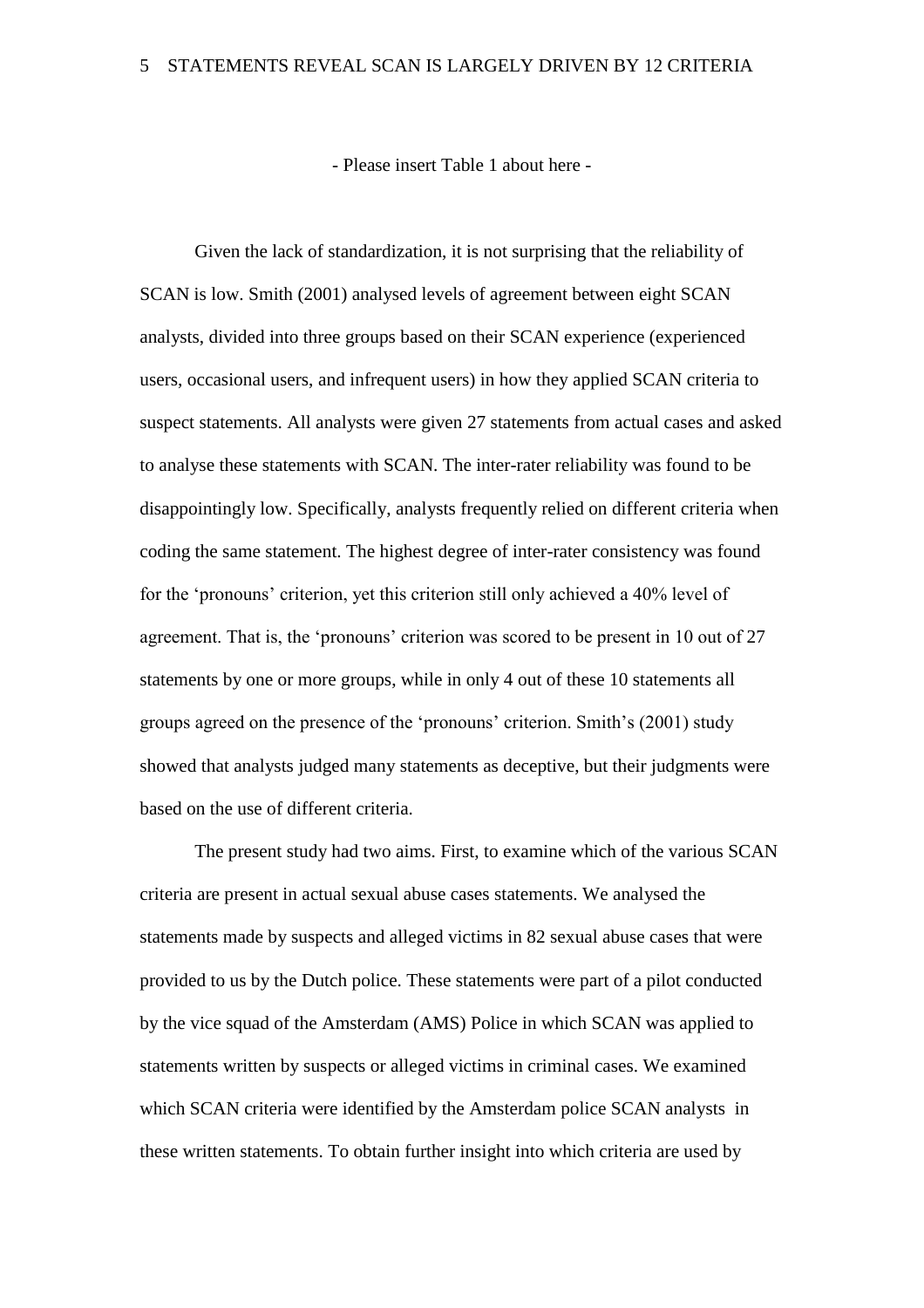- Please insert Table 1 about here -

Given the lack of standardization, it is not surprising that the reliability of SCAN is low. Smith (2001) analysed levels of agreement between eight SCAN analysts, divided into three groups based on their SCAN experience (experienced users, occasional users, and infrequent users) in how they applied SCAN criteria to suspect statements. All analysts were given 27 statements from actual cases and asked to analyse these statements with SCAN. The inter-rater reliability was found to be disappointingly low. Specifically, analysts frequently relied on different criteria when coding the same statement. The highest degree of inter-rater consistency was found for the 'pronouns' criterion, yet this criterion still only achieved a 40% level of agreement. That is, the 'pronouns' criterion was scored to be present in 10 out of 27 statements by one or more groups, while in only 4 out of these 10 statements all groups agreed on the presence of the 'pronouns' criterion. Smith's (2001) study showed that analysts judged many statements as deceptive, but their judgments were based on the use of different criteria.

The present study had two aims. First, to examine which of the various SCAN criteria are present in actual sexual abuse cases statements. We analysed the statements made by suspects and alleged victims in 82 sexual abuse cases that were provided to us by the Dutch police. These statements were part of a pilot conducted by the vice squad of the Amsterdam (AMS) Police in which SCAN was applied to statements written by suspects or alleged victims in criminal cases. We examined which SCAN criteria were identified by the Amsterdam police SCAN analysts in these written statements. To obtain further insight into which criteria are used by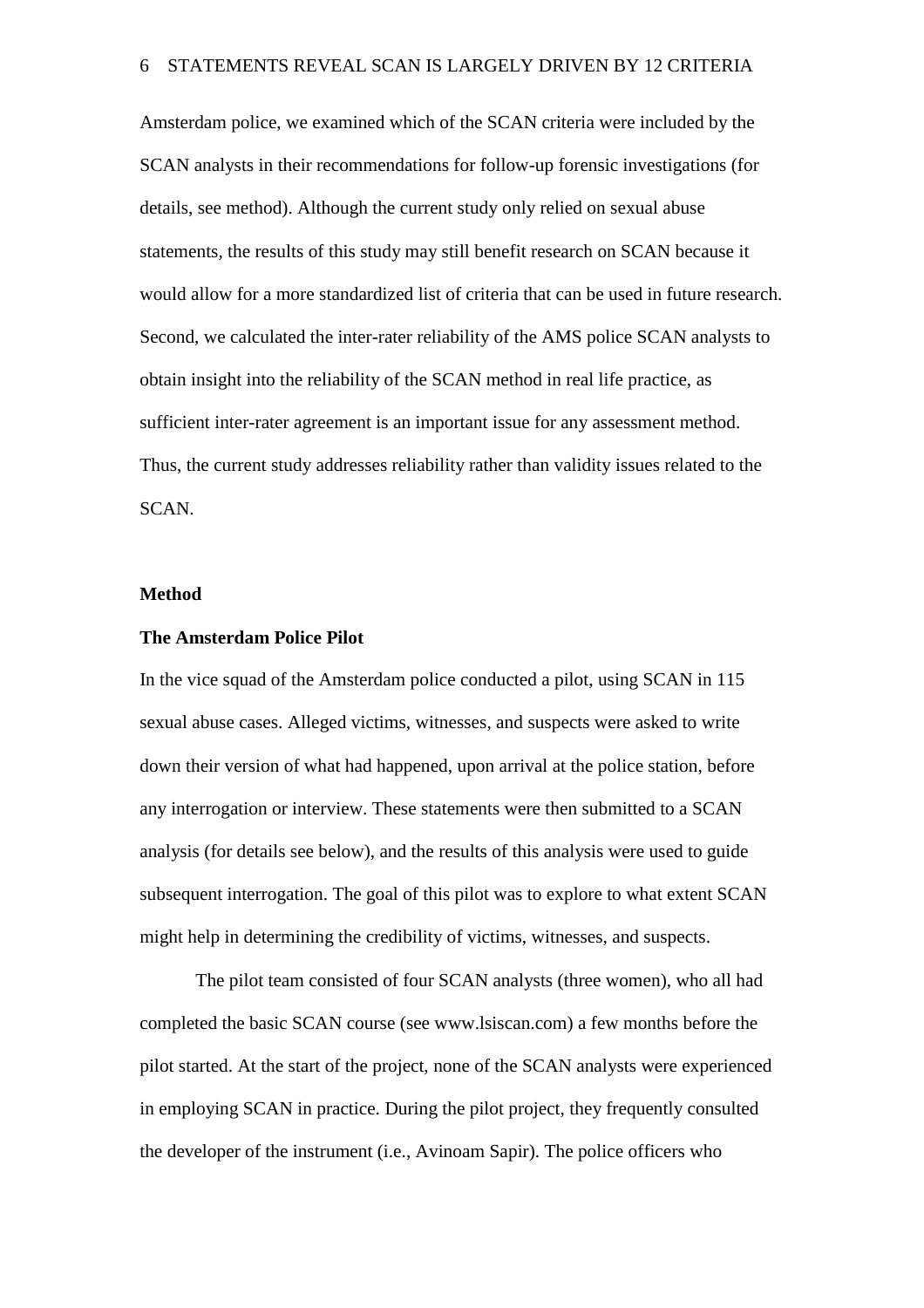Amsterdam police, we examined which of the SCAN criteria were included by the SCAN analysts in their recommendations for follow-up forensic investigations (for details, see method). Although the current study only relied on sexual abuse statements, the results of this study may still benefit research on SCAN because it would allow for a more standardized list of criteria that can be used in future research. Second, we calculated the inter-rater reliability of the AMS police SCAN analysts to obtain insight into the reliability of the SCAN method in real life practice, as sufficient inter-rater agreement is an important issue for any assessment method. Thus, the current study addresses reliability rather than validity issues related to the SCAN.

### **Method**

## **The Amsterdam Police Pilot**

In the vice squad of the Amsterdam police conducted a pilot, using SCAN in 115 sexual abuse cases. Alleged victims, witnesses, and suspects were asked to write down their version of what had happened, upon arrival at the police station, before any interrogation or interview. These statements were then submitted to a SCAN analysis (for details see below), and the results of this analysis were used to guide subsequent interrogation. The goal of this pilot was to explore to what extent SCAN might help in determining the credibility of victims, witnesses, and suspects.

The pilot team consisted of four SCAN analysts (three women), who all had completed the basic SCAN course (see www.lsiscan.com) a few months before the pilot started. At the start of the project, none of the SCAN analysts were experienced in employing SCAN in practice. During the pilot project, they frequently consulted the developer of the instrument (i.e., Avinoam Sapir). The police officers who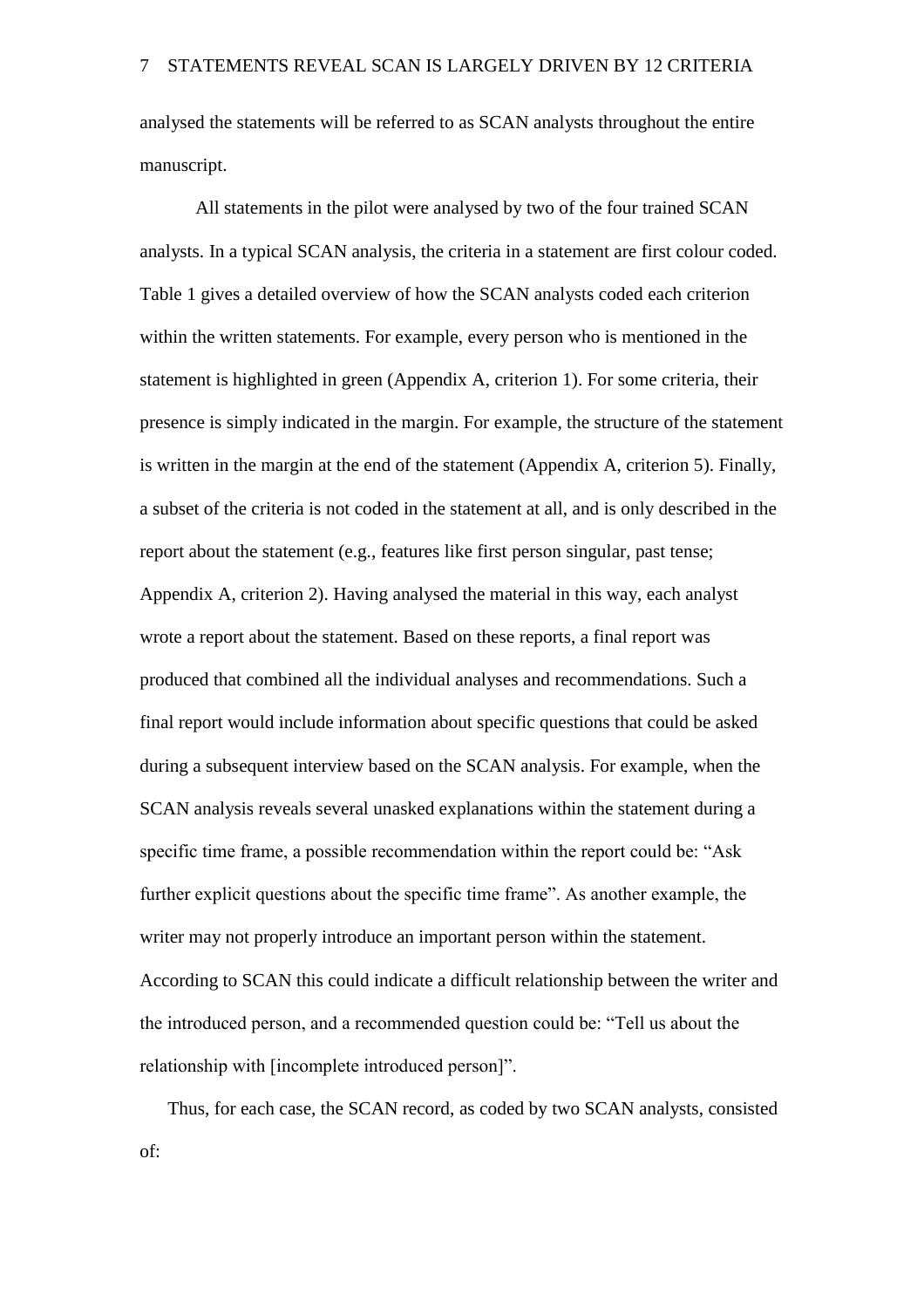analysed the statements will be referred to as SCAN analysts throughout the entire manuscript.

All statements in the pilot were analysed by two of the four trained SCAN analysts. In a typical SCAN analysis, the criteria in a statement are first colour coded. Table 1 gives a detailed overview of how the SCAN analysts coded each criterion within the written statements. For example, every person who is mentioned in the statement is highlighted in green (Appendix A, criterion 1). For some criteria, their presence is simply indicated in the margin. For example, the structure of the statement is written in the margin at the end of the statement (Appendix A, criterion 5). Finally, a subset of the criteria is not coded in the statement at all, and is only described in the report about the statement (e.g., features like first person singular, past tense; Appendix A, criterion 2). Having analysed the material in this way, each analyst wrote a report about the statement. Based on these reports, a final report was produced that combined all the individual analyses and recommendations. Such a final report would include information about specific questions that could be asked during a subsequent interview based on the SCAN analysis. For example, when the SCAN analysis reveals several unasked explanations within the statement during a specific time frame, a possible recommendation within the report could be: "Ask further explicit questions about the specific time frame". As another example, the writer may not properly introduce an important person within the statement. According to SCAN this could indicate a difficult relationship between the writer and the introduced person, and a recommended question could be: "Tell us about the relationship with [incomplete introduced person]".

Thus, for each case, the SCAN record, as coded by two SCAN analysts, consisted of: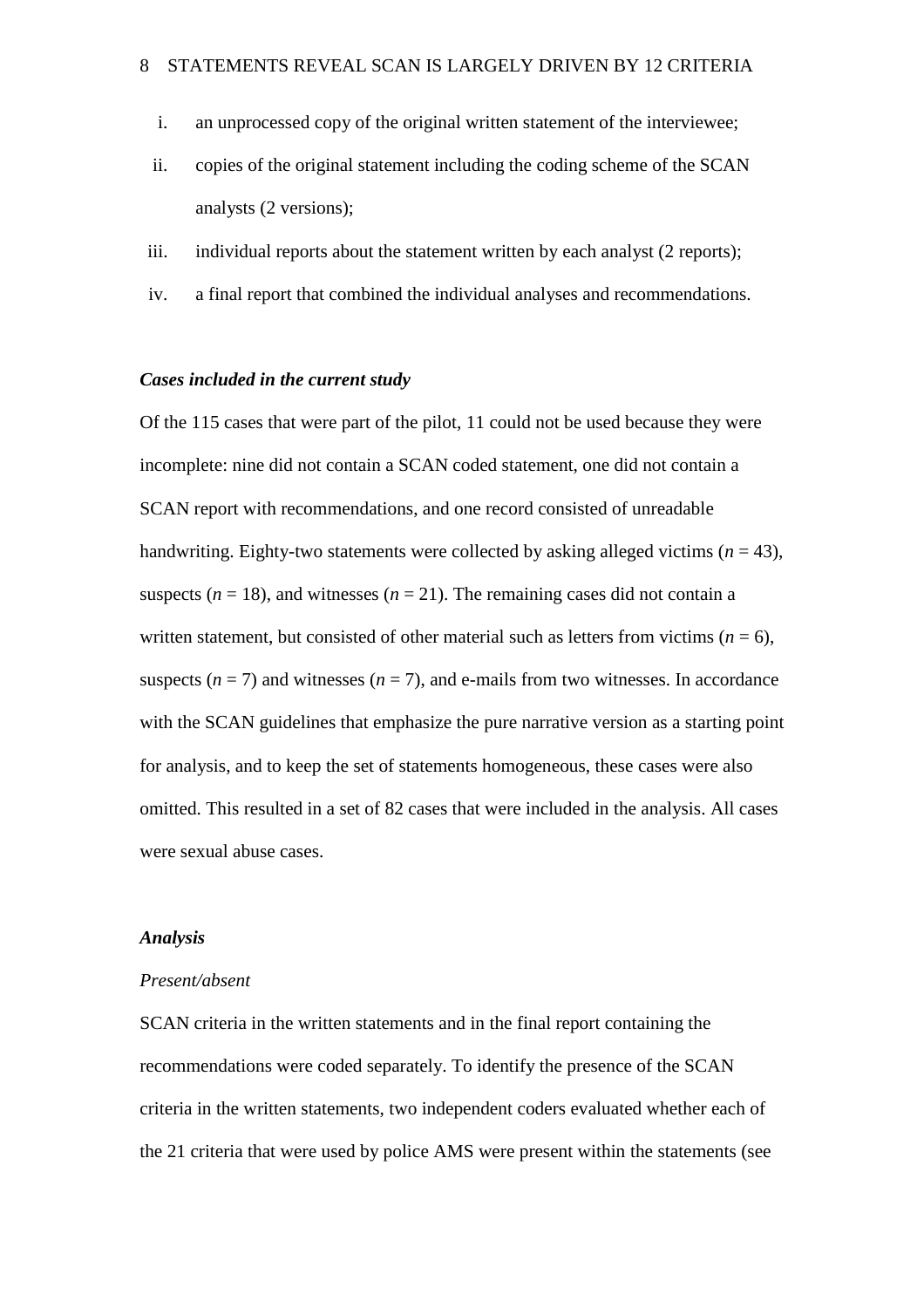- i. an unprocessed copy of the original written statement of the interviewee;
- ii. copies of the original statement including the coding scheme of the SCAN analysts (2 versions);
- iii. individual reports about the statement written by each analyst (2 reports);
- iv. a final report that combined the individual analyses and recommendations.

## *Cases included in the current study*

Of the 115 cases that were part of the pilot, 11 could not be used because they were incomplete: nine did not contain a SCAN coded statement, one did not contain a SCAN report with recommendations, and one record consisted of unreadable handwriting. Eighty-two statements were collected by asking alleged victims  $(n = 43)$ , suspects  $(n = 18)$ , and witnesses  $(n = 21)$ . The remaining cases did not contain a written statement, but consisted of other material such as letters from victims  $(n = 6)$ , suspects  $(n = 7)$  and witnesses  $(n = 7)$ , and e-mails from two witnesses. In accordance with the SCAN guidelines that emphasize the pure narrative version as a starting point for analysis, and to keep the set of statements homogeneous, these cases were also omitted. This resulted in a set of 82 cases that were included in the analysis. All cases were sexual abuse cases.

### *Analysis*

### *Present/absent*

SCAN criteria in the written statements and in the final report containing the recommendations were coded separately. To identify the presence of the SCAN criteria in the written statements, two independent coders evaluated whether each of the 21 criteria that were used by police AMS were present within the statements (see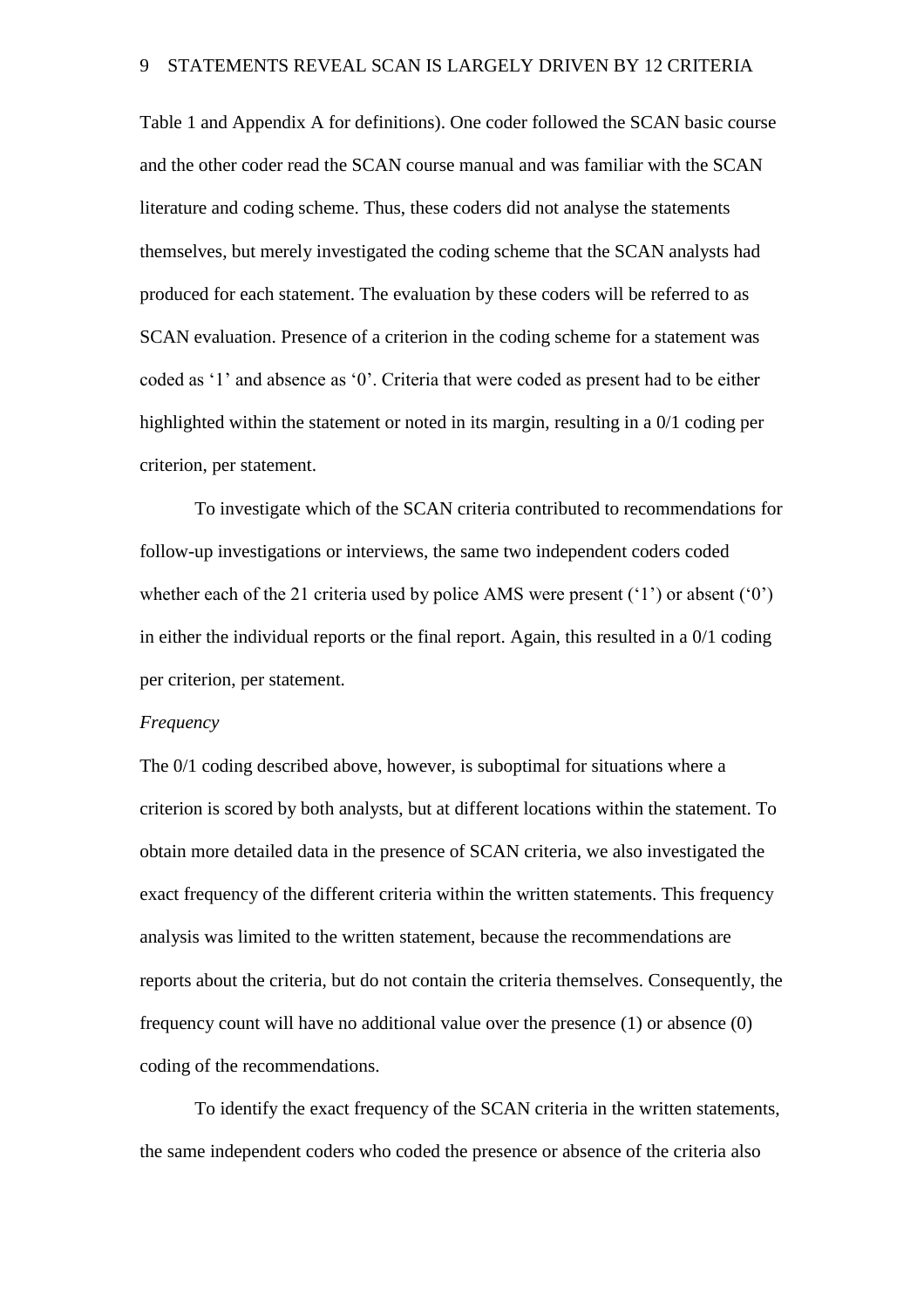Table 1 and Appendix A for definitions). One coder followed the SCAN basic course and the other coder read the SCAN course manual and was familiar with the SCAN literature and coding scheme. Thus, these coders did not analyse the statements themselves, but merely investigated the coding scheme that the SCAN analysts had produced for each statement. The evaluation by these coders will be referred to as SCAN evaluation. Presence of a criterion in the coding scheme for a statement was coded as '1' and absence as '0'. Criteria that were coded as present had to be either highlighted within the statement or noted in its margin, resulting in a 0/1 coding per criterion, per statement.

To investigate which of the SCAN criteria contributed to recommendations for follow-up investigations or interviews, the same two independent coders coded whether each of the 21 criteria used by police AMS were present ('1') or absent ('0') in either the individual reports or the final report. Again, this resulted in a 0/1 coding per criterion, per statement.

## *Frequency*

The 0/1 coding described above, however, is suboptimal for situations where a criterion is scored by both analysts, but at different locations within the statement. To obtain more detailed data in the presence of SCAN criteria, we also investigated the exact frequency of the different criteria within the written statements. This frequency analysis was limited to the written statement, because the recommendations are reports about the criteria, but do not contain the criteria themselves. Consequently, the frequency count will have no additional value over the presence (1) or absence (0) coding of the recommendations.

To identify the exact frequency of the SCAN criteria in the written statements, the same independent coders who coded the presence or absence of the criteria also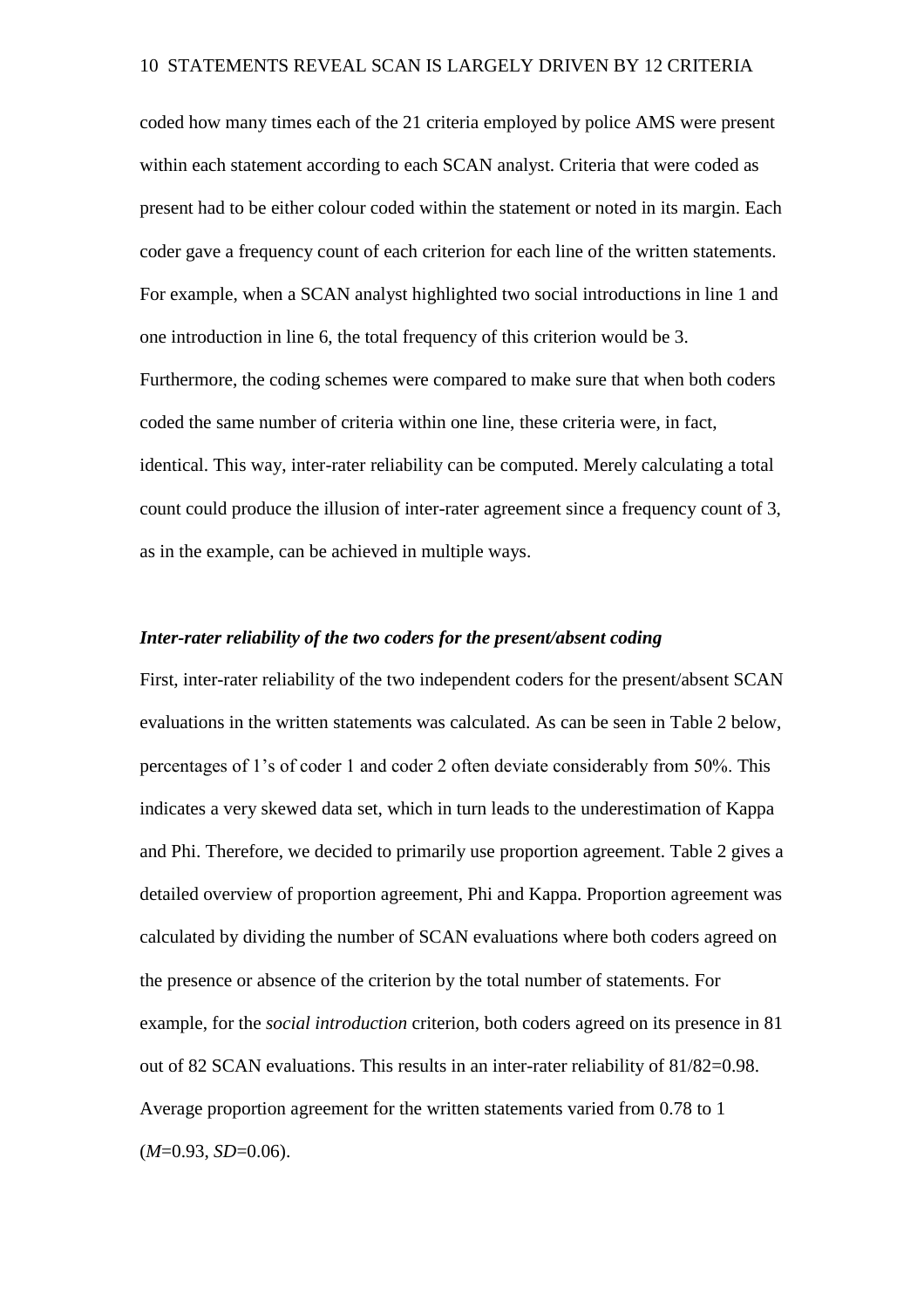coded how many times each of the 21 criteria employed by police AMS were present within each statement according to each SCAN analyst. Criteria that were coded as present had to be either colour coded within the statement or noted in its margin. Each coder gave a frequency count of each criterion for each line of the written statements. For example, when a SCAN analyst highlighted two social introductions in line 1 and one introduction in line 6, the total frequency of this criterion would be 3. Furthermore, the coding schemes were compared to make sure that when both coders coded the same number of criteria within one line, these criteria were, in fact, identical. This way, inter-rater reliability can be computed. Merely calculating a total count could produce the illusion of inter-rater agreement since a frequency count of 3, as in the example, can be achieved in multiple ways.

## *Inter-rater reliability of the two coders for the present/absent coding*

First, inter-rater reliability of the two independent coders for the present/absent SCAN evaluations in the written statements was calculated. As can be seen in Table 2 below, percentages of 1's of coder 1 and coder 2 often deviate considerably from 50%. This indicates a very skewed data set, which in turn leads to the underestimation of Kappa and Phi. Therefore, we decided to primarily use proportion agreement. Table 2 gives a detailed overview of proportion agreement, Phi and Kappa. Proportion agreement was calculated by dividing the number of SCAN evaluations where both coders agreed on the presence or absence of the criterion by the total number of statements. For example, for the *social introduction* criterion, both coders agreed on its presence in 81 out of 82 SCAN evaluations. This results in an inter-rater reliability of 81/82=0.98. Average proportion agreement for the written statements varied from 0.78 to 1 (*M*=0.93, *SD*=0.06).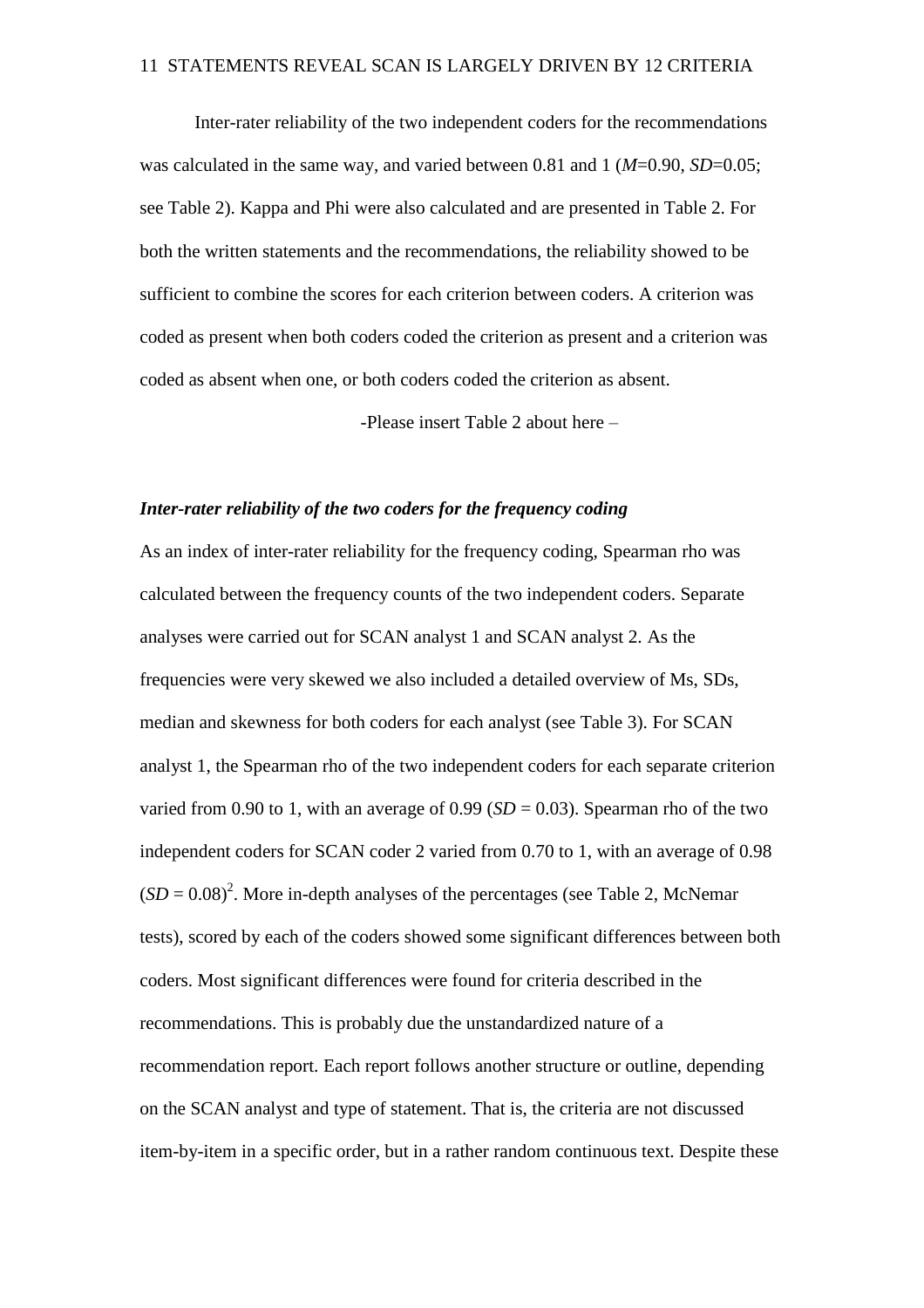Inter-rater reliability of the two independent coders for the recommendations was calculated in the same way, and varied between 0.81 and 1 (*M*=0.90, *SD*=0.05; see Table 2). Kappa and Phi were also calculated and are presented in Table 2. For both the written statements and the recommendations, the reliability showed to be sufficient to combine the scores for each criterion between coders. A criterion was coded as present when both coders coded the criterion as present and a criterion was coded as absent when one, or both coders coded the criterion as absent.

-Please insert Table 2 about here –

### *Inter-rater reliability of the two coders for the frequency coding*

As an index of inter-rater reliability for the frequency coding, Spearman rho was calculated between the frequency counts of the two independent coders. Separate analyses were carried out for SCAN analyst 1 and SCAN analyst 2. As the frequencies were very skewed we also included a detailed overview of Ms, SDs, median and skewness for both coders for each analyst (see Table 3). For SCAN analyst 1, the Spearman rho of the two independent coders for each separate criterion varied from 0.90 to 1, with an average of  $0.99$  (*SD* = 0.03). Spearman rho of the two independent coders for SCAN coder 2 varied from 0.70 to 1, with an average of 0.98  $(SD = 0.08)^2$ . More in-depth analyses of the percentages (see Table 2, McNemar tests), scored by each of the coders showed some significant differences between both coders. Most significant differences were found for criteria described in the recommendations. This is probably due the unstandardized nature of a recommendation report. Each report follows another structure or outline, depending on the SCAN analyst and type of statement. That is, the criteria are not discussed item-by-item in a specific order, but in a rather random continuous text. Despite these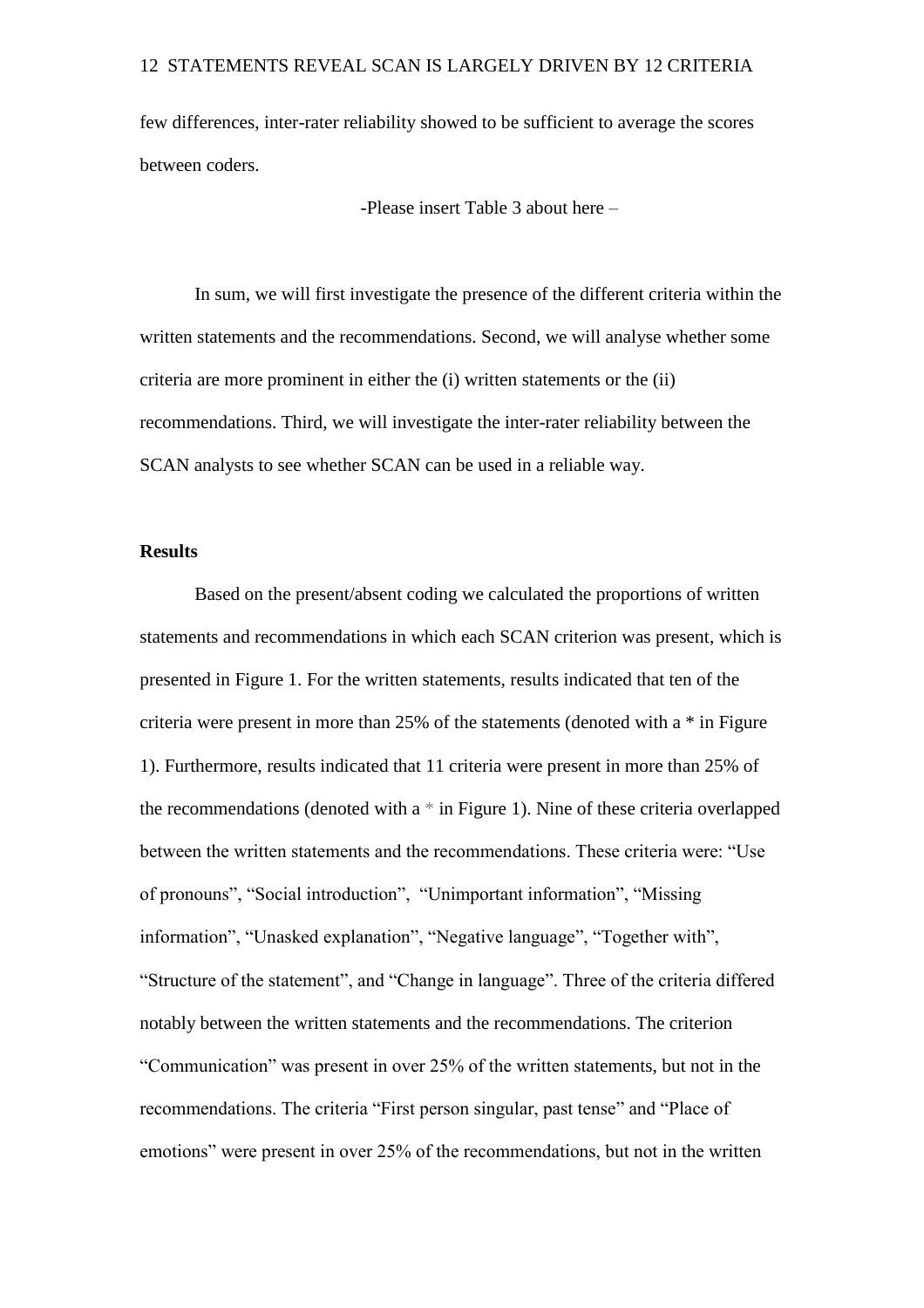few differences, inter-rater reliability showed to be sufficient to average the scores between coders.

-Please insert Table 3 about here –

In sum, we will first investigate the presence of the different criteria within the written statements and the recommendations. Second, we will analyse whether some criteria are more prominent in either the (i) written statements or the (ii) recommendations. Third, we will investigate the inter-rater reliability between the SCAN analysts to see whether SCAN can be used in a reliable way.

## **Results**

Based on the present/absent coding we calculated the proportions of written statements and recommendations in which each SCAN criterion was present, which is presented in Figure 1. For the written statements, results indicated that ten of the criteria were present in more than 25% of the statements (denoted with a \* in Figure 1). Furthermore, results indicated that 11 criteria were present in more than 25% of the recommendations (denoted with a \* in Figure 1). Nine of these criteria overlapped between the written statements and the recommendations. These criteria were: "Use of pronouns", "Social introduction", "Unimportant information", "Missing information", "Unasked explanation", "Negative language", "Together with", "Structure of the statement", and "Change in language". Three of the criteria differed notably between the written statements and the recommendations. The criterion "Communication" was present in over 25% of the written statements, but not in the recommendations. The criteria "First person singular, past tense" and "Place of emotions" were present in over 25% of the recommendations, but not in the written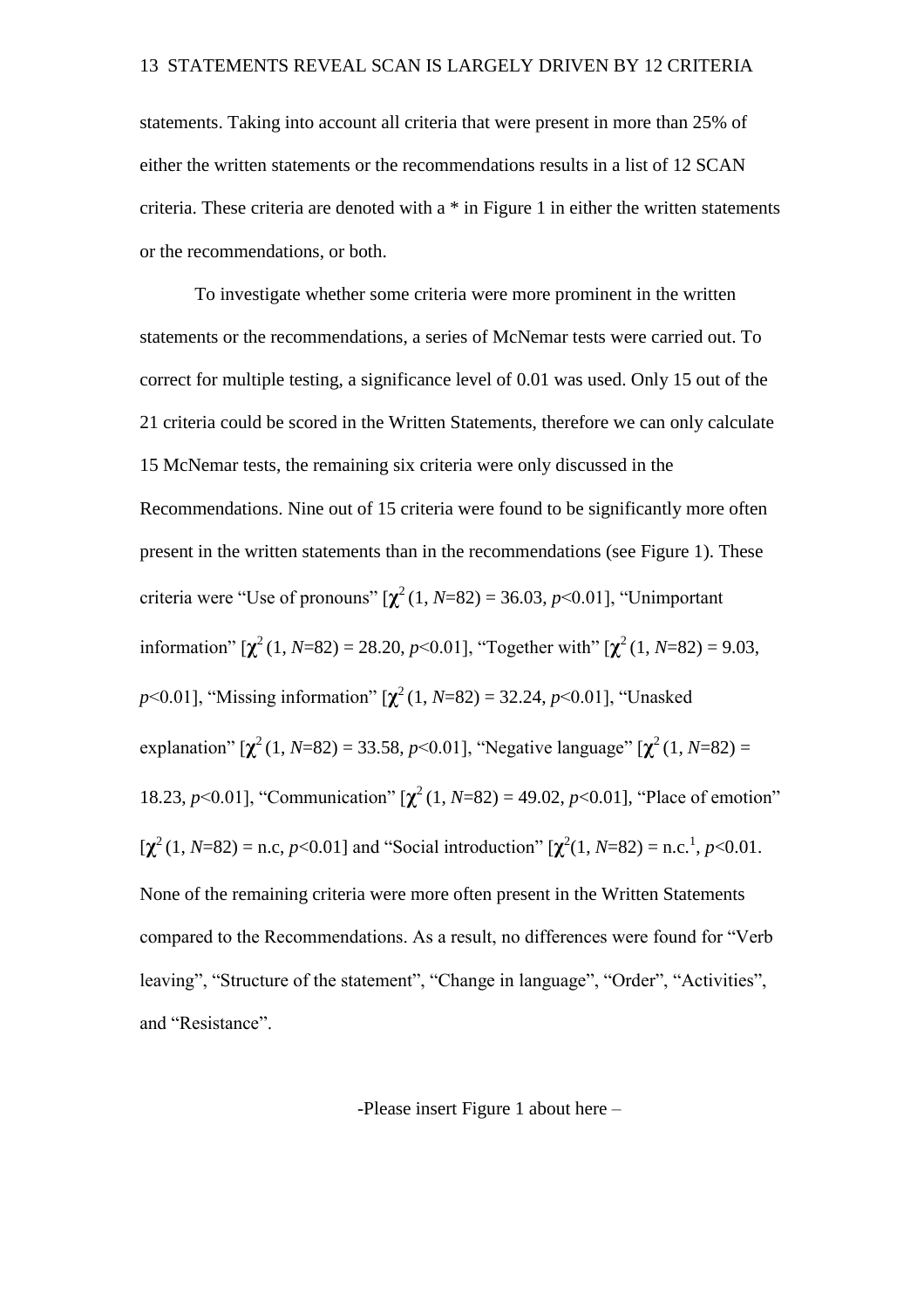statements. Taking into account all criteria that were present in more than 25% of either the written statements or the recommendations results in a list of 12 SCAN criteria. These criteria are denoted with a \* in Figure 1 in either the written statements or the recommendations, or both.

To investigate whether some criteria were more prominent in the written statements or the recommendations, a series of McNemar tests were carried out. To correct for multiple testing, a significance level of 0.01 was used. Only 15 out of the 21 criteria could be scored in the Written Statements, therefore we can only calculate 15 McNemar tests, the remaining six criteria were only discussed in the Recommendations. Nine out of 15 criteria were found to be significantly more often present in the written statements than in the recommendations (see Figure 1). These criteria were "Use of pronouns"  $[\chi^2(1, N=82) = 36.03, p<0.01]$ , "Unimportant" information"  $[\chi^2(1, N=82) = 28.20, p<0.01]$ , "Together with"  $[\chi^2(1, N=82) = 9.03$ , *p*<0.01], "Missing information" [**χ** <sup>2</sup>(1, *N*=82) = 32.24, *p*<0.01], "Unasked explanation"  $[\chi^2(1, N=82) = 33.58, p<0.01]$ , "Negative language"  $[\chi^2(1, N=82) =$ 18.23, *p*<0.01], "Communication"  $[\chi^2(1, N=82) = 49.02, p<0.01]$ , "Place of emotion"  $[\chi^2(1, N=82) = n.c., p<0.01]$  and "Social introduction"  $[\chi^2(1, N=82) = n.c.<sup>1</sup>, p<0.01]$ . None of the remaining criteria were more often present in the Written Statements compared to the Recommendations. As a result, no differences were found for "Verb leaving", "Structure of the statement", "Change in language", "Order", "Activities", and "Resistance".

-Please insert Figure 1 about here –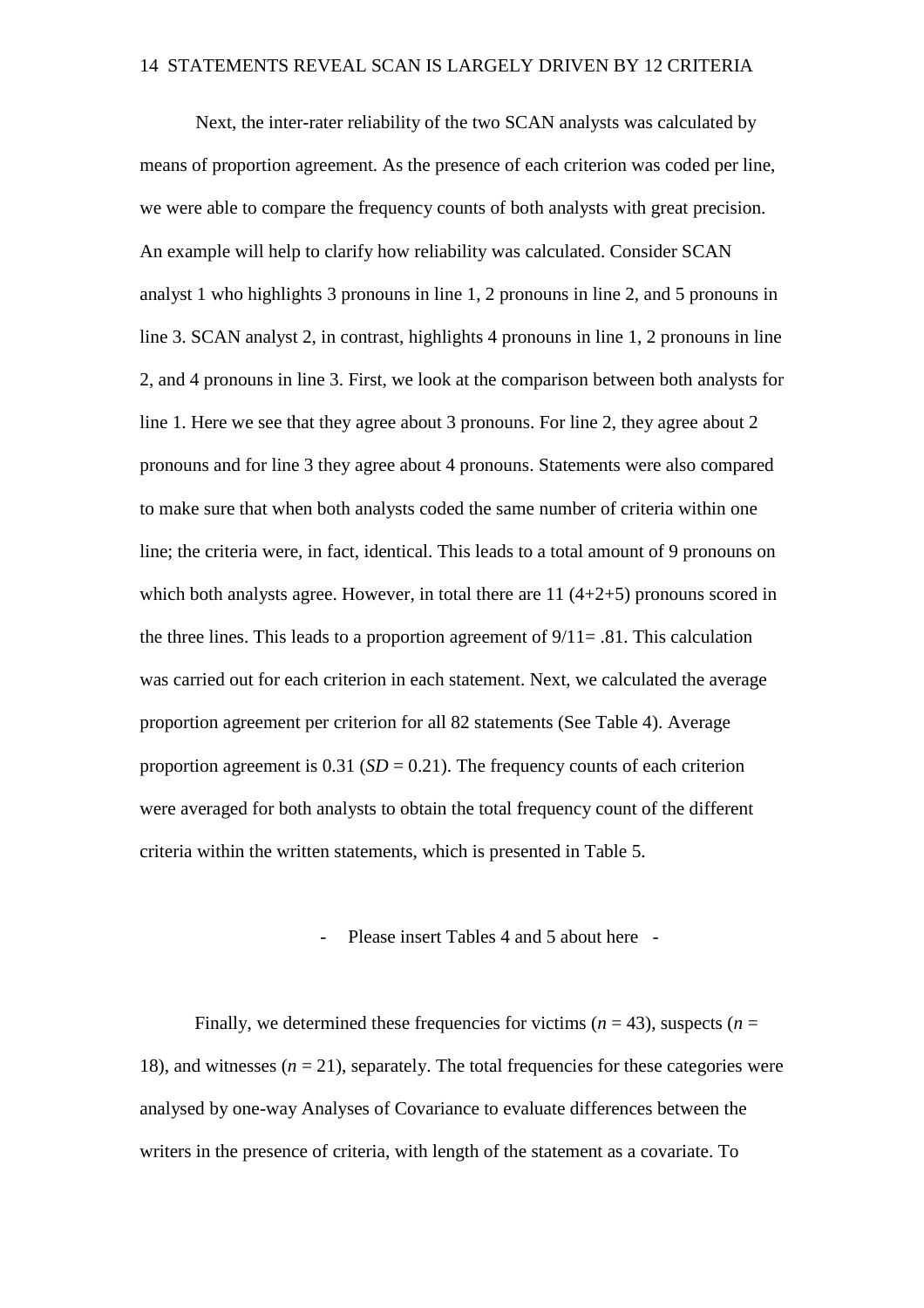Next, the inter-rater reliability of the two SCAN analysts was calculated by means of proportion agreement. As the presence of each criterion was coded per line, we were able to compare the frequency counts of both analysts with great precision. An example will help to clarify how reliability was calculated. Consider SCAN analyst 1 who highlights 3 pronouns in line 1, 2 pronouns in line 2, and 5 pronouns in line 3. SCAN analyst 2, in contrast, highlights 4 pronouns in line 1, 2 pronouns in line 2, and 4 pronouns in line 3. First, we look at the comparison between both analysts for line 1. Here we see that they agree about 3 pronouns. For line 2, they agree about 2 pronouns and for line 3 they agree about 4 pronouns. Statements were also compared to make sure that when both analysts coded the same number of criteria within one line; the criteria were, in fact, identical. This leads to a total amount of 9 pronouns on which both analysts agree. However, in total there are 11 (4+2+5) pronouns scored in the three lines. This leads to a proportion agreement of  $9/11 = .81$ . This calculation was carried out for each criterion in each statement. Next, we calculated the average proportion agreement per criterion for all 82 statements (See Table 4). Average proportion agreement is  $0.31$  (*SD* = 0.21). The frequency counts of each criterion were averaged for both analysts to obtain the total frequency count of the different criteria within the written statements, which is presented in Table 5.

## Please insert Tables 4 and 5 about here -

Finally, we determined these frequencies for victims  $(n = 43)$ , suspects  $(n = 12)$ 18), and witnesses  $(n = 21)$ , separately. The total frequencies for these categories were analysed by one-way Analyses of Covariance to evaluate differences between the writers in the presence of criteria, with length of the statement as a covariate. To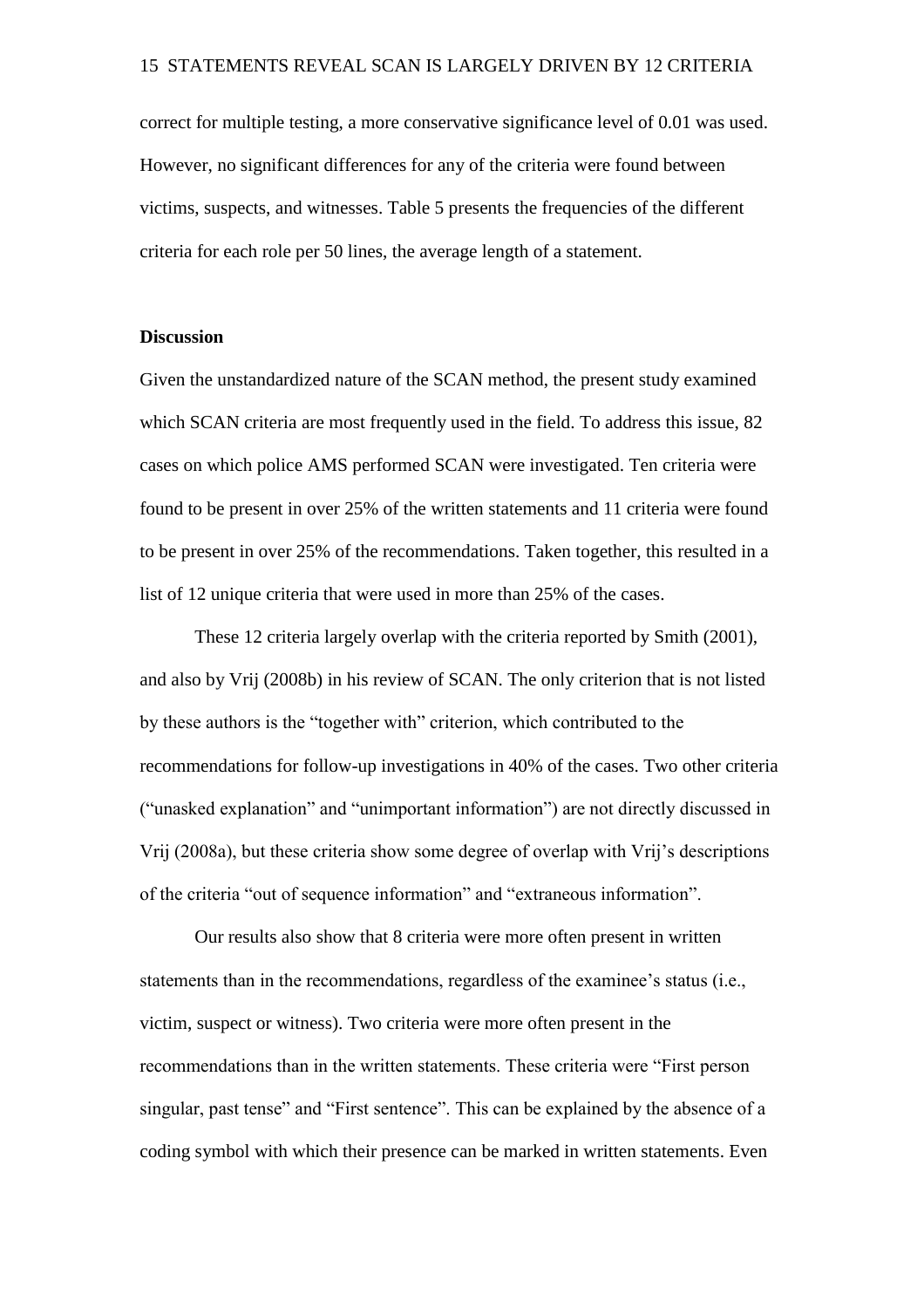correct for multiple testing, a more conservative significance level of 0.01 was used. However, no significant differences for any of the criteria were found between victims, suspects, and witnesses. Table 5 presents the frequencies of the different criteria for each role per 50 lines, the average length of a statement.

## **Discussion**

Given the unstandardized nature of the SCAN method, the present study examined which SCAN criteria are most frequently used in the field. To address this issue, 82 cases on which police AMS performed SCAN were investigated. Ten criteria were found to be present in over 25% of the written statements and 11 criteria were found to be present in over 25% of the recommendations. Taken together, this resulted in a list of 12 unique criteria that were used in more than 25% of the cases.

These 12 criteria largely overlap with the criteria reported by Smith (2001), and also by Vrij (2008b) in his review of SCAN. The only criterion that is not listed by these authors is the "together with" criterion, which contributed to the recommendations for follow-up investigations in 40% of the cases. Two other criteria ("unasked explanation" and "unimportant information") are not directly discussed in Vrij (2008a), but these criteria show some degree of overlap with Vrij's descriptions of the criteria "out of sequence information" and "extraneous information".

Our results also show that 8 criteria were more often present in written statements than in the recommendations, regardless of the examinee's status (i.e., victim, suspect or witness). Two criteria were more often present in the recommendations than in the written statements. These criteria were "First person singular, past tense" and "First sentence". This can be explained by the absence of a coding symbol with which their presence can be marked in written statements. Even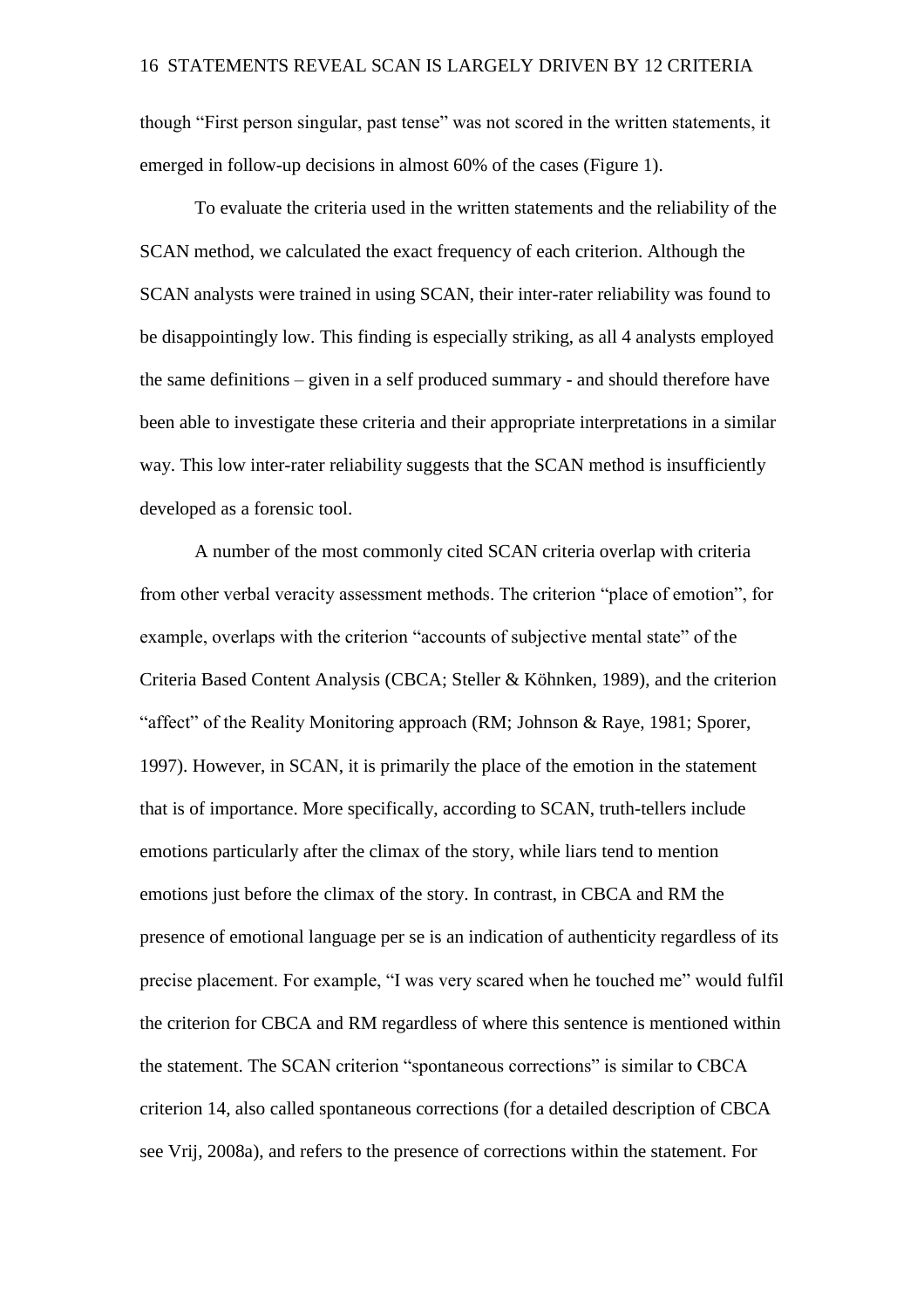though "First person singular, past tense" was not scored in the written statements, it emerged in follow-up decisions in almost 60% of the cases (Figure 1).

To evaluate the criteria used in the written statements and the reliability of the SCAN method, we calculated the exact frequency of each criterion. Although the SCAN analysts were trained in using SCAN, their inter-rater reliability was found to be disappointingly low. This finding is especially striking, as all 4 analysts employed the same definitions – given in a self produced summary - and should therefore have been able to investigate these criteria and their appropriate interpretations in a similar way. This low inter-rater reliability suggests that the SCAN method is insufficiently developed as a forensic tool.

A number of the most commonly cited SCAN criteria overlap with criteria from other verbal veracity assessment methods. The criterion "place of emotion", for example, overlaps with the criterion "accounts of subjective mental state" of the Criteria Based Content Analysis (CBCA; Steller & Köhnken, 1989), and the criterion "affect" of the Reality Monitoring approach (RM; Johnson & Raye, 1981; Sporer, 1997). However, in SCAN, it is primarily the place of the emotion in the statement that is of importance. More specifically, according to SCAN, truth-tellers include emotions particularly after the climax of the story, while liars tend to mention emotions just before the climax of the story. In contrast, in CBCA and RM the presence of emotional language per se is an indication of authenticity regardless of its precise placement. For example, "I was very scared when he touched me" would fulfil the criterion for CBCA and RM regardless of where this sentence is mentioned within the statement. The SCAN criterion "spontaneous corrections" is similar to CBCA criterion 14, also called spontaneous corrections (for a detailed description of CBCA see Vrij, 2008a), and refers to the presence of corrections within the statement. For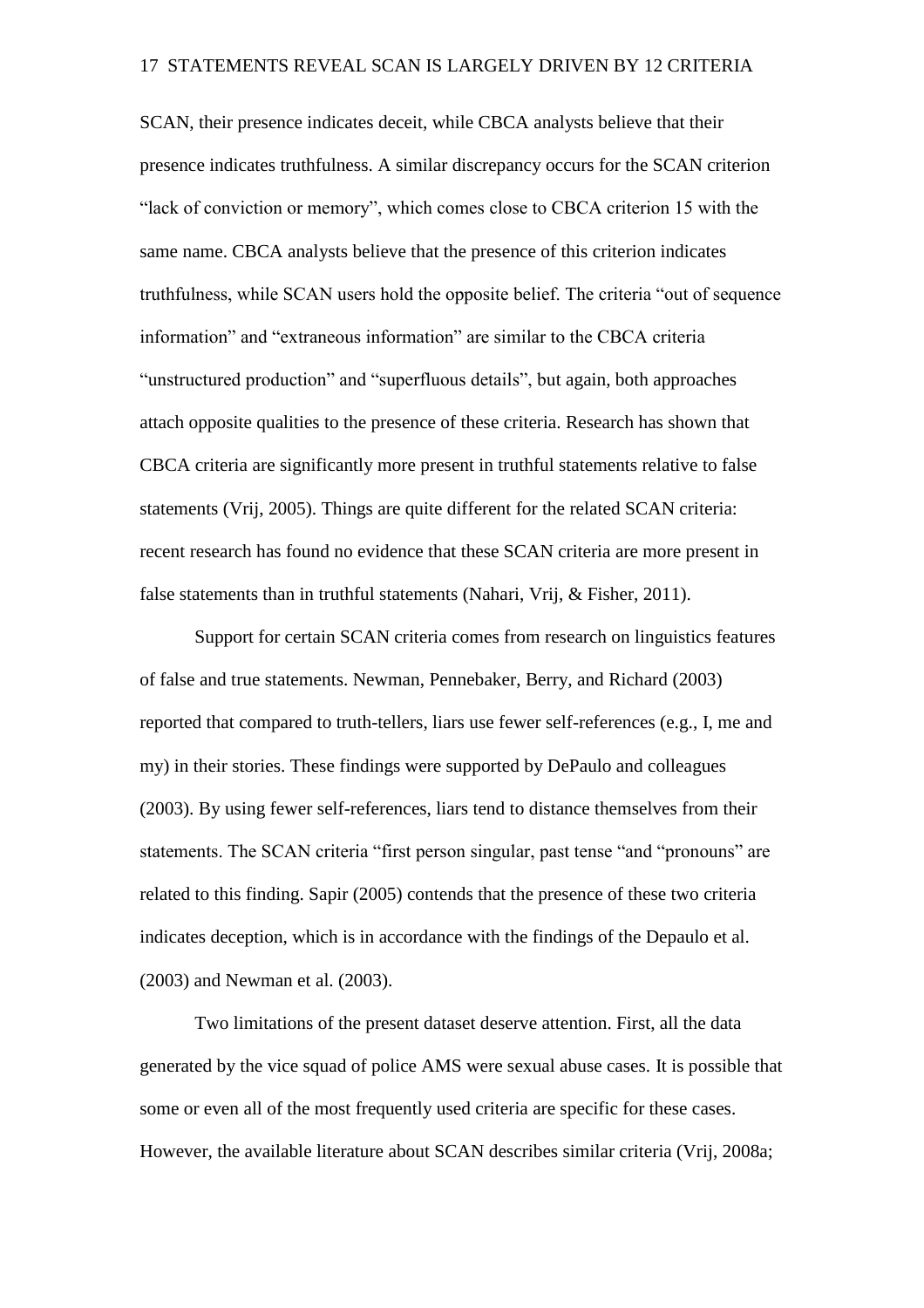SCAN, their presence indicates deceit, while CBCA analysts believe that their presence indicates truthfulness. A similar discrepancy occurs for the SCAN criterion "lack of conviction or memory", which comes close to CBCA criterion 15 with the same name. CBCA analysts believe that the presence of this criterion indicates truthfulness, while SCAN users hold the opposite belief. The criteria "out of sequence information" and "extraneous information" are similar to the CBCA criteria "unstructured production" and "superfluous details", but again, both approaches attach opposite qualities to the presence of these criteria. Research has shown that CBCA criteria are significantly more present in truthful statements relative to false statements (Vrij, 2005). Things are quite different for the related SCAN criteria: recent research has found no evidence that these SCAN criteria are more present in false statements than in truthful statements (Nahari, Vrij, & Fisher, 2011).

Support for certain SCAN criteria comes from research on linguistics features of false and true statements. Newman, Pennebaker, Berry, and Richard (2003) reported that compared to truth-tellers, liars use fewer self-references (e.g., I, me and my) in their stories. These findings were supported by DePaulo and colleagues (2003). By using fewer self-references, liars tend to distance themselves from their statements. The SCAN criteria "first person singular, past tense "and "pronouns" are related to this finding. Sapir (2005) contends that the presence of these two criteria indicates deception, which is in accordance with the findings of the Depaulo et al. (2003) and Newman et al. (2003).

Two limitations of the present dataset deserve attention. First, all the data generated by the vice squad of police AMS were sexual abuse cases. It is possible that some or even all of the most frequently used criteria are specific for these cases. However, the available literature about SCAN describes similar criteria (Vrij, 2008a;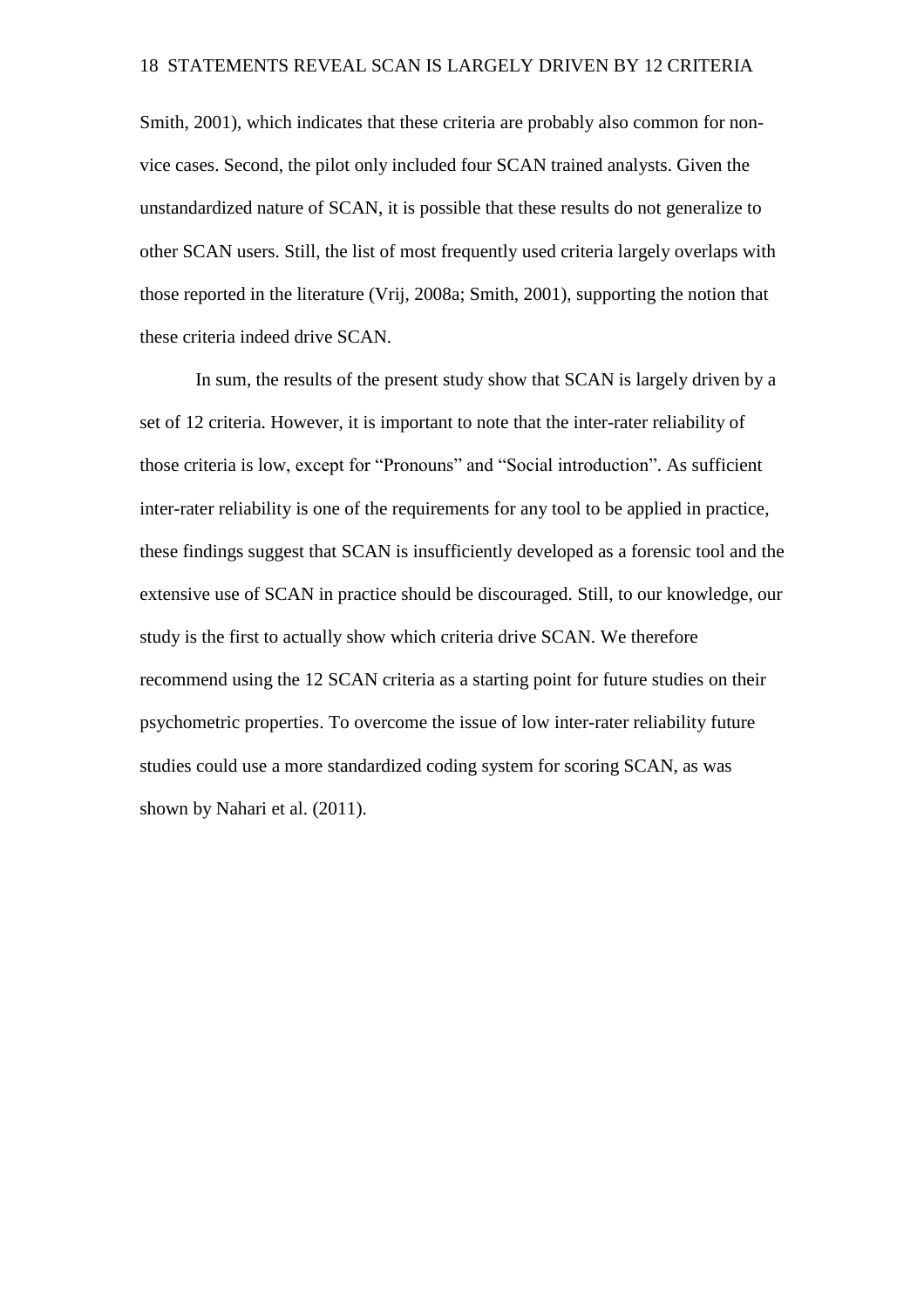Smith, 2001), which indicates that these criteria are probably also common for nonvice cases. Second, the pilot only included four SCAN trained analysts. Given the unstandardized nature of SCAN, it is possible that these results do not generalize to other SCAN users. Still, the list of most frequently used criteria largely overlaps with those reported in the literature (Vrij, 2008a; Smith, 2001), supporting the notion that these criteria indeed drive SCAN.

In sum, the results of the present study show that SCAN is largely driven by a set of 12 criteria. However, it is important to note that the inter-rater reliability of those criteria is low, except for "Pronouns" and "Social introduction". As sufficient inter-rater reliability is one of the requirements for any tool to be applied in practice, these findings suggest that SCAN is insufficiently developed as a forensic tool and the extensive use of SCAN in practice should be discouraged. Still, to our knowledge, our study is the first to actually show which criteria drive SCAN. We therefore recommend using the 12 SCAN criteria as a starting point for future studies on their psychometric properties. To overcome the issue of low inter-rater reliability future studies could use a more standardized coding system for scoring SCAN, as was shown by Nahari et al. (2011).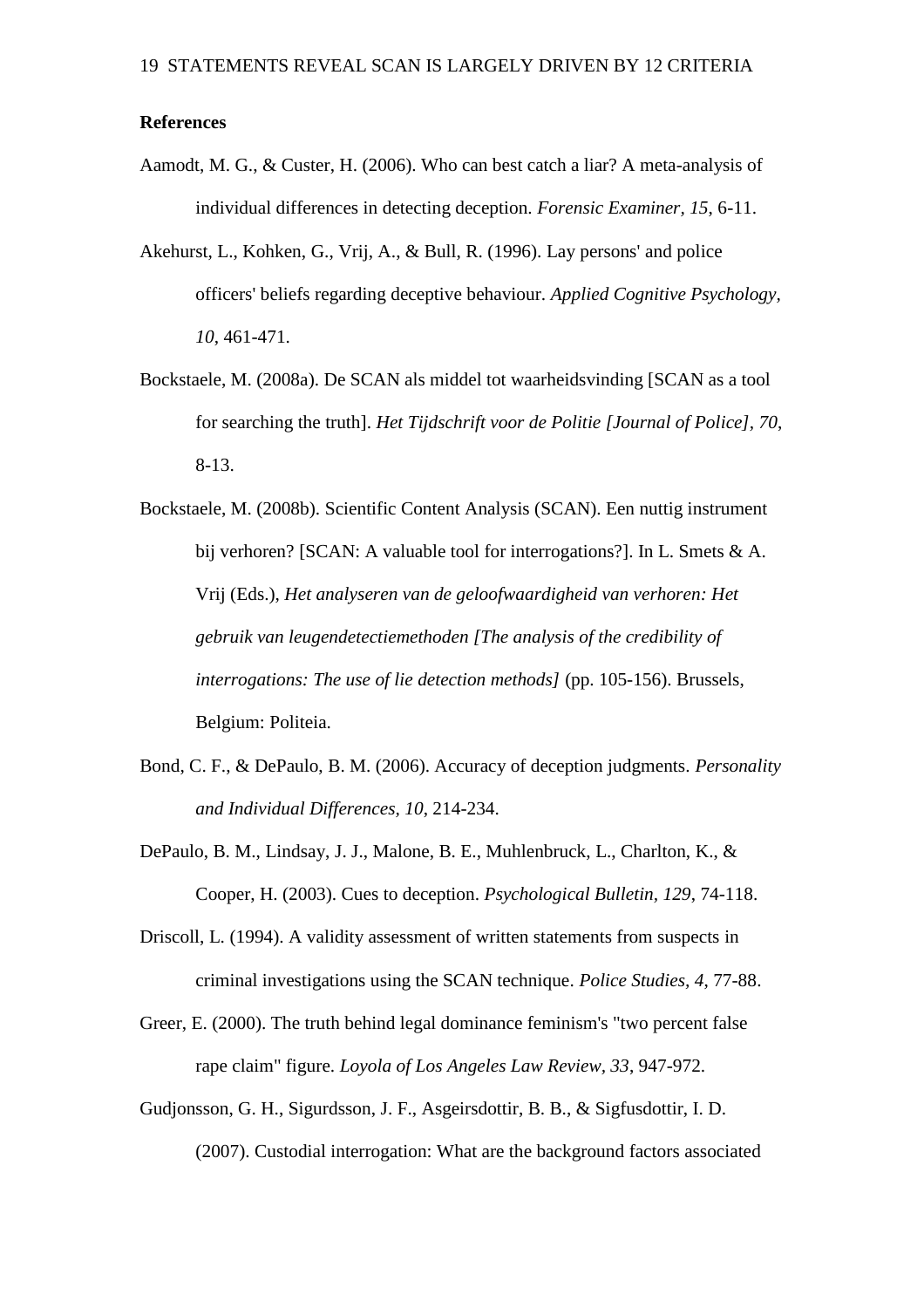## **References**

- Aamodt, M. G., & Custer, H. (2006). Who can best catch a liar? A meta-analysis of individual differences in detecting deception. *Forensic Examiner, 15*, 6-11.
- Akehurst, L., Kohken, G., Vrij, A., & Bull, R. (1996). Lay persons' and police officers' beliefs regarding deceptive behaviour. *Applied Cognitive Psychology, 10*, 461-471.
- Bockstaele, M. (2008a). De SCAN als middel tot waarheidsvinding [SCAN as a tool for searching the truth]. *Het Tijdschrift voor de Politie [Journal of Police], 70*, 8-13.
- Bockstaele, M. (2008b). Scientific Content Analysis (SCAN). Een nuttig instrument bij verhoren? [SCAN: A valuable tool for interrogations?]. In L. Smets & A. Vrij (Eds.), *Het analyseren van de geloofwaardigheid van verhoren: Het gebruik van leugendetectiemethoden [The analysis of the credibility of interrogations: The use of lie detection methods]* (pp. 105-156). Brussels, Belgium: Politeia.
- Bond, C. F., & DePaulo, B. M. (2006). Accuracy of deception judgments. *Personality and Individual Differences, 10*, 214-234.
- DePaulo, B. M., Lindsay, J. J., Malone, B. E., Muhlenbruck, L., Charlton, K., & Cooper, H. (2003). Cues to deception. *Psychological Bulletin, 129*, 74-118.
- Driscoll, L. (1994). A validity assessment of written statements from suspects in criminal investigations using the SCAN technique. *Police Studies, 4*, 77-88.
- Greer, E. (2000). The truth behind legal dominance feminism's "two percent false rape claim" figure. *Loyola of Los Angeles Law Review, 33*, 947-972.
- Gudjonsson, G. H., Sigurdsson, J. F., Asgeirsdottir, B. B., & Sigfusdottir, I. D. (2007). Custodial interrogation: What are the background factors associated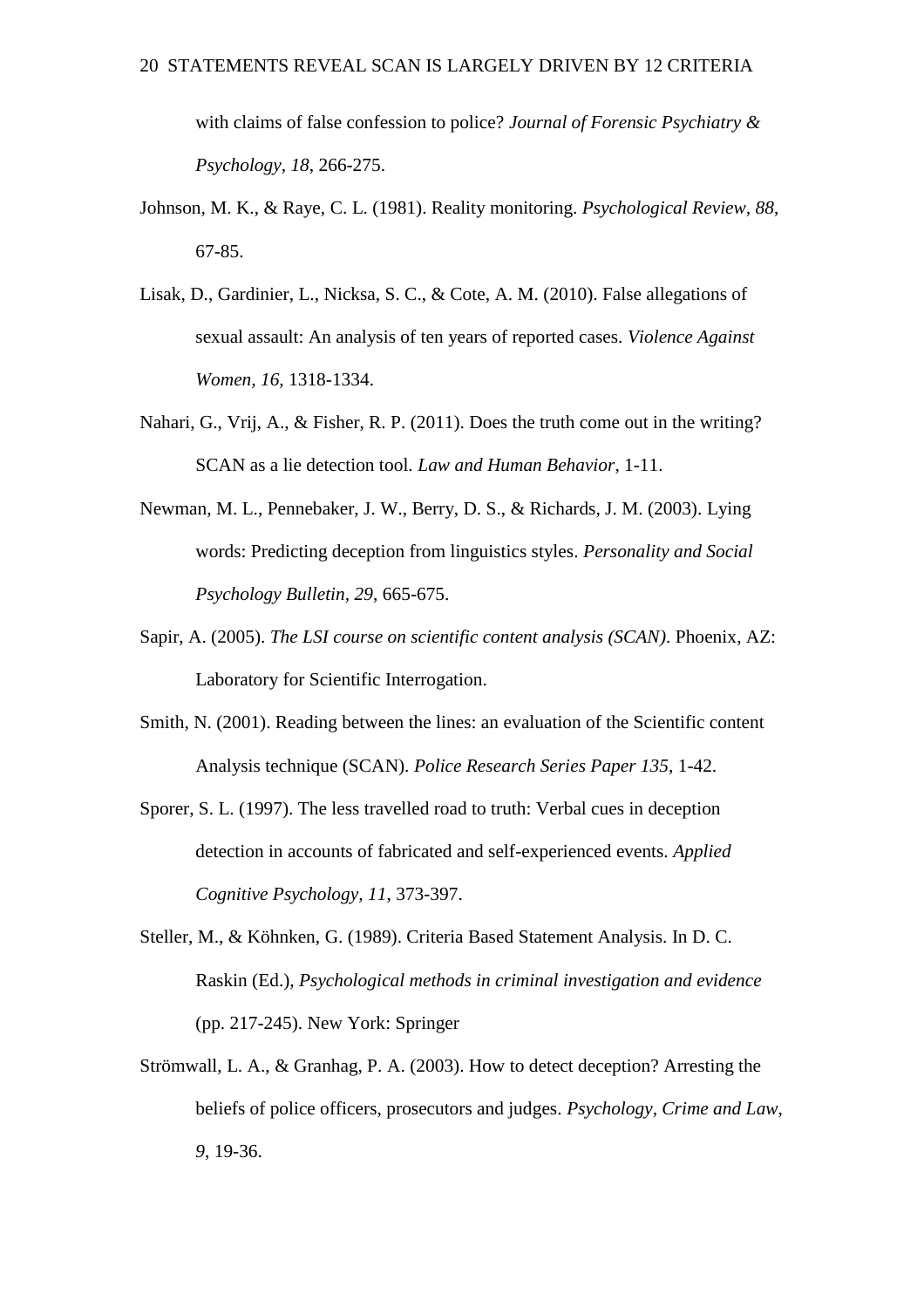with claims of false confession to police? *Journal of Forensic Psychiatry & Psychology, 18*, 266-275.

- Johnson, M. K., & Raye, C. L. (1981). Reality monitoring. *Psychological Review, 88*, 67-85.
- Lisak, D., Gardinier, L., Nicksa, S. C., & Cote, A. M. (2010). False allegations of sexual assault: An analysis of ten years of reported cases. *Violence Against Women, 16*, 1318-1334.
- Nahari, G., Vrij, A., & Fisher, R. P. (2011). Does the truth come out in the writing? SCAN as a lie detection tool. *Law and Human Behavior*, 1-11.
- Newman, M. L., Pennebaker, J. W., Berry, D. S., & Richards, J. M. (2003). Lying words: Predicting deception from linguistics styles. *Personality and Social Psychology Bulletin, 29*, 665-675.
- Sapir, A. (2005). *The LSI course on scientific content analysis (SCAN)*. Phoenix, AZ: Laboratory for Scientific Interrogation.
- Smith, N. (2001). Reading between the lines: an evaluation of the Scientific content Analysis technique (SCAN). *Police Research Series Paper 135*, 1-42.
- Sporer, S. L. (1997). The less travelled road to truth: Verbal cues in deception detection in accounts of fabricated and self-experienced events. *Applied Cognitive Psychology, 11*, 373-397.
- Steller, M., & Köhnken, G. (1989). Criteria Based Statement Analysis. In D. C. Raskin (Ed.), *Psychological methods in criminal investigation and evidence* (pp. 217-245). New York: Springer
- Strömwall, L. A., & Granhag, P. A. (2003). How to detect deception? Arresting the beliefs of police officers, prosecutors and judges. *Psychology, Crime and Law, 9*, 19-36.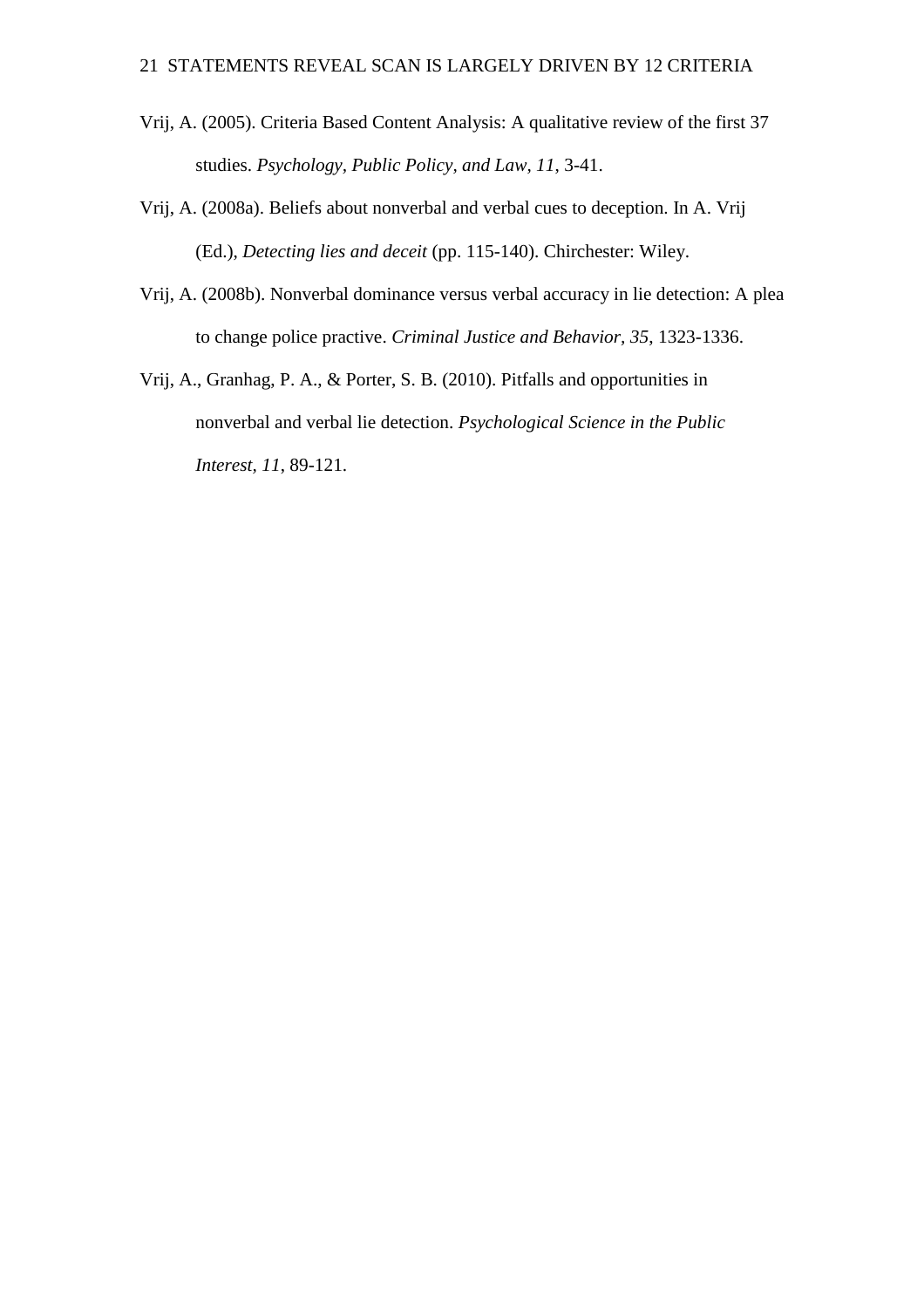- Vrij, A. (2005). Criteria Based Content Analysis: A qualitative review of the first 37 studies. *Psychology, Public Policy, and Law, 11*, 3-41.
- Vrij, A. (2008a). Beliefs about nonverbal and verbal cues to deception. In A. Vrij (Ed.), *Detecting lies and deceit* (pp. 115-140). Chirchester: Wiley.
- Vrij, A. (2008b). Nonverbal dominance versus verbal accuracy in lie detection: A plea to change police practive. *Criminal Justice and Behavior, 35*, 1323-1336.
- Vrij, A., Granhag, P. A., & Porter, S. B. (2010). Pitfalls and opportunities in nonverbal and verbal lie detection. *Psychological Science in the Public Interest, 11*, 89-121.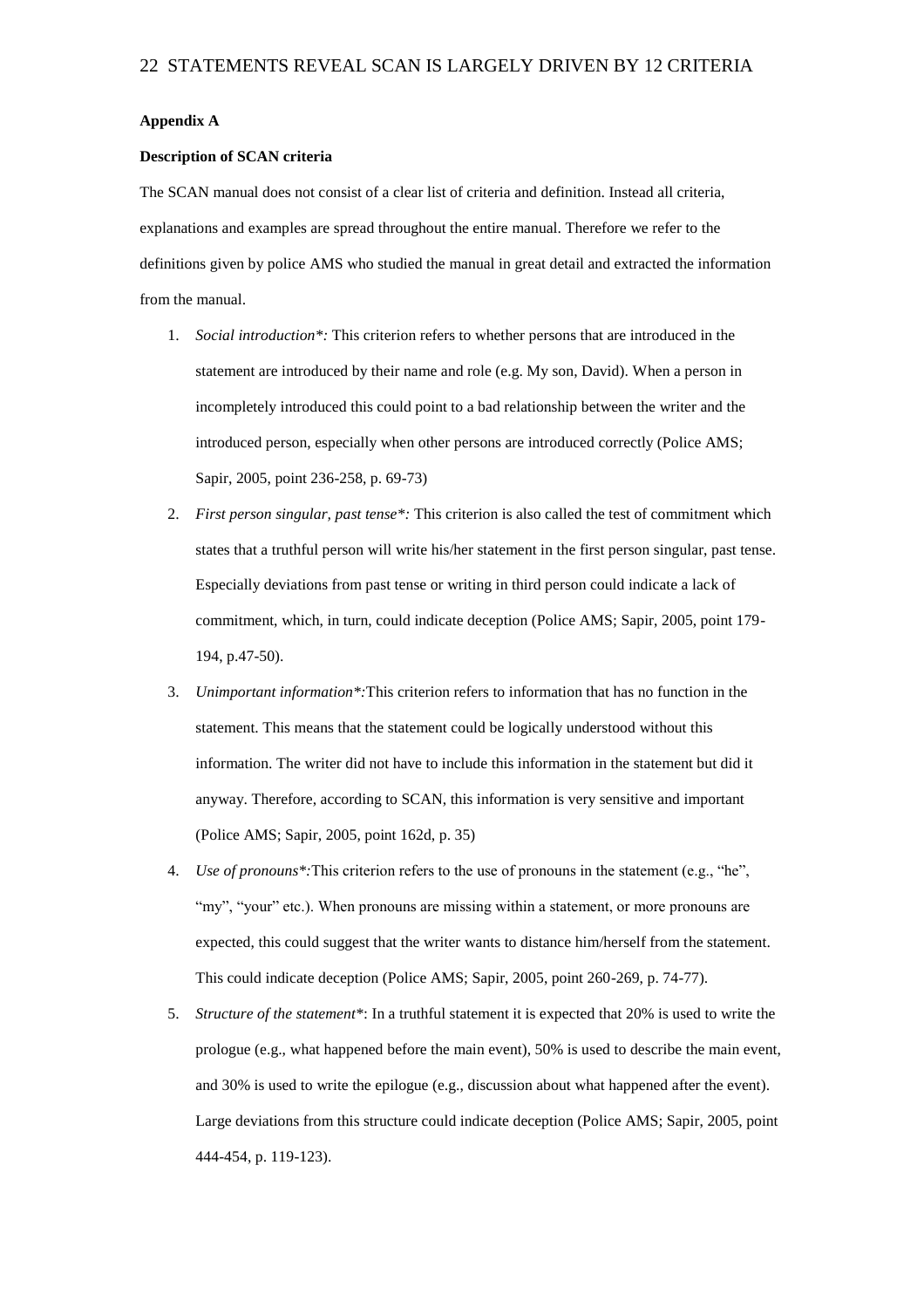#### **Appendix A**

#### **Description of SCAN criteria**

The SCAN manual does not consist of a clear list of criteria and definition. Instead all criteria, explanations and examples are spread throughout the entire manual. Therefore we refer to the definitions given by police AMS who studied the manual in great detail and extracted the information from the manual.

- 1. *Social introduction\*:* This criterion refers to whether persons that are introduced in the statement are introduced by their name and role (e.g. My son, David). When a person in incompletely introduced this could point to a bad relationship between the writer and the introduced person, especially when other persons are introduced correctly (Police AMS; Sapir, 2005, point 236-258, p. 69-73)
- 2. *First person singular, past tense\*:* This criterion is also called the test of commitment which states that a truthful person will write his/her statement in the first person singular, past tense. Especially deviations from past tense or writing in third person could indicate a lack of commitment, which, in turn, could indicate deception (Police AMS; Sapir, 2005, point 179- 194, p.47-50).
- 3. *Unimportant information\*:*This criterion refers to information that has no function in the statement. This means that the statement could be logically understood without this information. The writer did not have to include this information in the statement but did it anyway. Therefore, according to SCAN, this information is very sensitive and important (Police AMS; Sapir, 2005, point 162d, p. 35)
- 4. *Use of pronouns\*:*This criterion refers to the use of pronouns in the statement (e.g., "he", "my", "your" etc.). When pronouns are missing within a statement, or more pronouns are expected, this could suggest that the writer wants to distance him/herself from the statement. This could indicate deception (Police AMS; Sapir, 2005, point 260-269, p. 74-77).
- 5. *Structure of the statement\**: In a truthful statement it is expected that 20% is used to write the prologue (e.g., what happened before the main event), 50% is used to describe the main event, and 30% is used to write the epilogue (e.g., discussion about what happened after the event). Large deviations from this structure could indicate deception (Police AMS; Sapir, 2005, point 444-454, p. 119-123).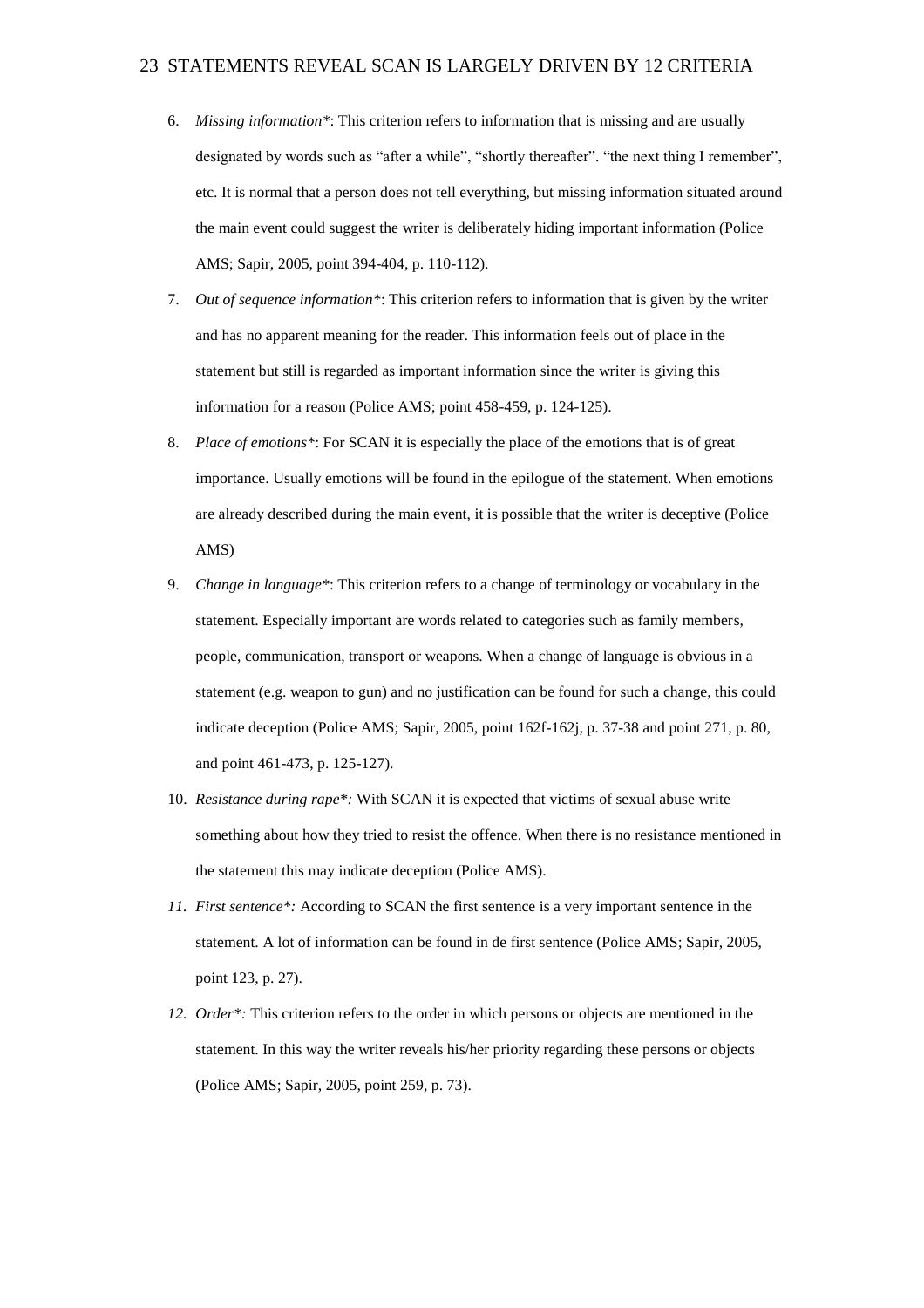- 6. *Missing information\**: This criterion refers to information that is missing and are usually designated by words such as "after a while", "shortly thereafter". "the next thing I remember", etc. It is normal that a person does not tell everything, but missing information situated around the main event could suggest the writer is deliberately hiding important information (Police AMS; Sapir, 2005, point 394-404, p. 110-112).
- 7. *Out of sequence information\**: This criterion refers to information that is given by the writer and has no apparent meaning for the reader. This information feels out of place in the statement but still is regarded as important information since the writer is giving this information for a reason (Police AMS; point 458-459, p. 124-125).
- 8. *Place of emotions\**: For SCAN it is especially the place of the emotions that is of great importance. Usually emotions will be found in the epilogue of the statement. When emotions are already described during the main event, it is possible that the writer is deceptive (Police AMS)
- 9. *Change in language\**: This criterion refers to a change of terminology or vocabulary in the statement. Especially important are words related to categories such as family members, people, communication, transport or weapons. When a change of language is obvious in a statement (e.g. weapon to gun) and no justification can be found for such a change, this could indicate deception (Police AMS; Sapir, 2005, point 162f-162j, p. 37-38 and point 271, p. 80, and point 461-473, p. 125-127).
- 10. *Resistance during rape\*:* With SCAN it is expected that victims of sexual abuse write something about how they tried to resist the offence. When there is no resistance mentioned in the statement this may indicate deception (Police AMS).
- *11. First sentence\*:* According to SCAN the first sentence is a very important sentence in the statement. A lot of information can be found in de first sentence (Police AMS; Sapir, 2005, point 123, p. 27).
- *12. Order\*:* This criterion refers to the order in which persons or objects are mentioned in the statement. In this way the writer reveals his/her priority regarding these persons or objects (Police AMS; Sapir, 2005, point 259, p. 73).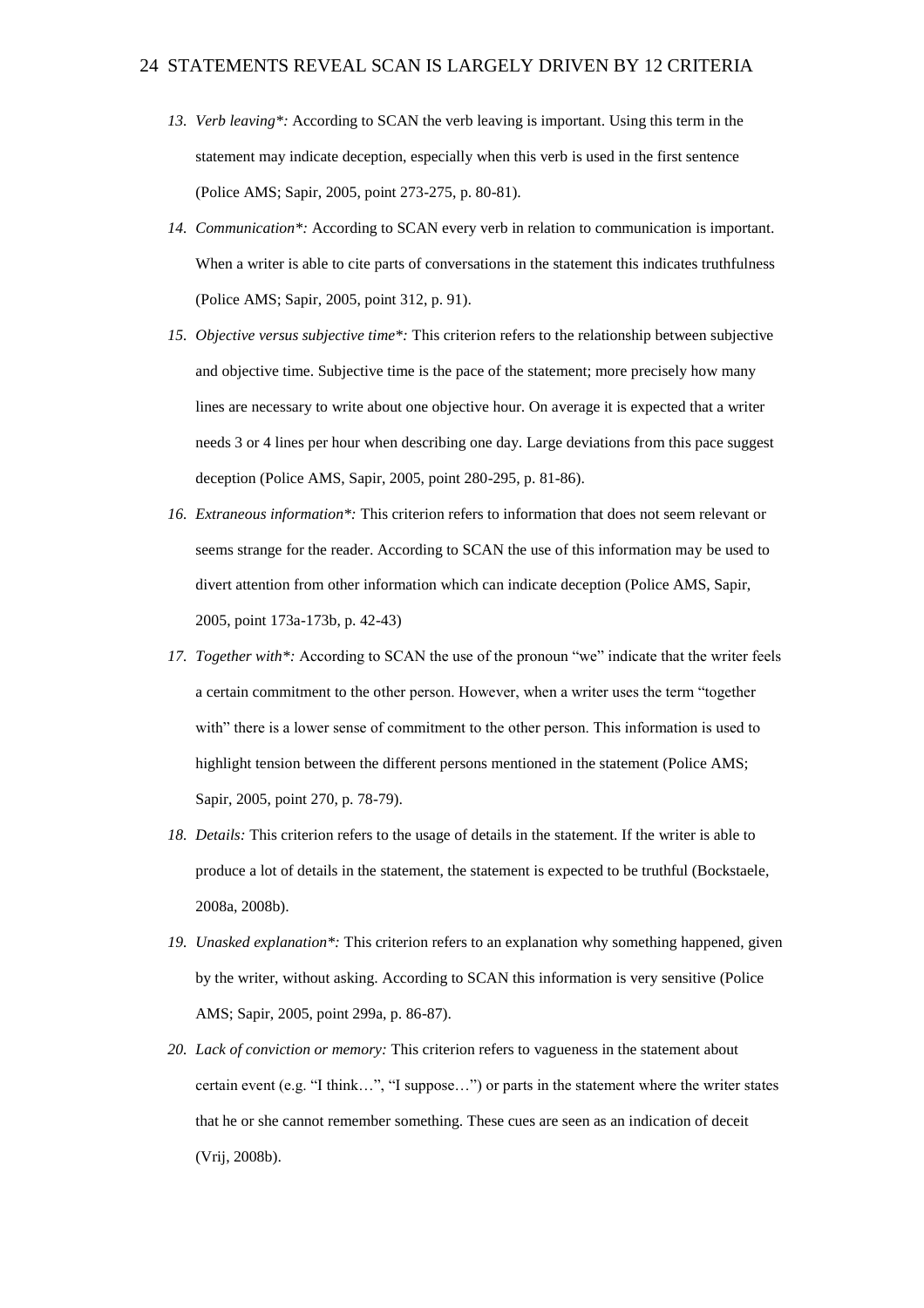- *13. Verb leaving\*:* According to SCAN the verb leaving is important. Using this term in the statement may indicate deception, especially when this verb is used in the first sentence (Police AMS; Sapir, 2005, point 273-275, p. 80-81).
- *14. Communication\*:* According to SCAN every verb in relation to communication is important. When a writer is able to cite parts of conversations in the statement this indicates truthfulness (Police AMS; Sapir, 2005, point 312, p. 91).
- *15. Objective versus subjective time\*:* This criterion refers to the relationship between subjective and objective time. Subjective time is the pace of the statement; more precisely how many lines are necessary to write about one objective hour. On average it is expected that a writer needs 3 or 4 lines per hour when describing one day. Large deviations from this pace suggest deception (Police AMS, Sapir, 2005, point 280-295, p. 81-86).
- *16. Extraneous information\*:* This criterion refers to information that does not seem relevant or seems strange for the reader. According to SCAN the use of this information may be used to divert attention from other information which can indicate deception (Police AMS, Sapir, 2005, point 173a-173b, p. 42-43)
- *17. Together with\*:* According to SCAN the use of the pronoun "we" indicate that the writer feels a certain commitment to the other person. However, when a writer uses the term "together with" there is a lower sense of commitment to the other person. This information is used to highlight tension between the different persons mentioned in the statement (Police AMS; Sapir, 2005, point 270, p. 78-79).
- *18. Details:* This criterion refers to the usage of details in the statement. If the writer is able to produce a lot of details in the statement, the statement is expected to be truthful (Bockstaele, 2008a, 2008b).
- *19. Unasked explanation\*:* This criterion refers to an explanation why something happened, given by the writer, without asking. According to SCAN this information is very sensitive (Police AMS; Sapir, 2005, point 299a, p. 86-87).
- *20. Lack of conviction or memory:* This criterion refers to vagueness in the statement about certain event (e.g. "I think…", "I suppose…") or parts in the statement where the writer states that he or she cannot remember something. These cues are seen as an indication of deceit (Vrij, 2008b).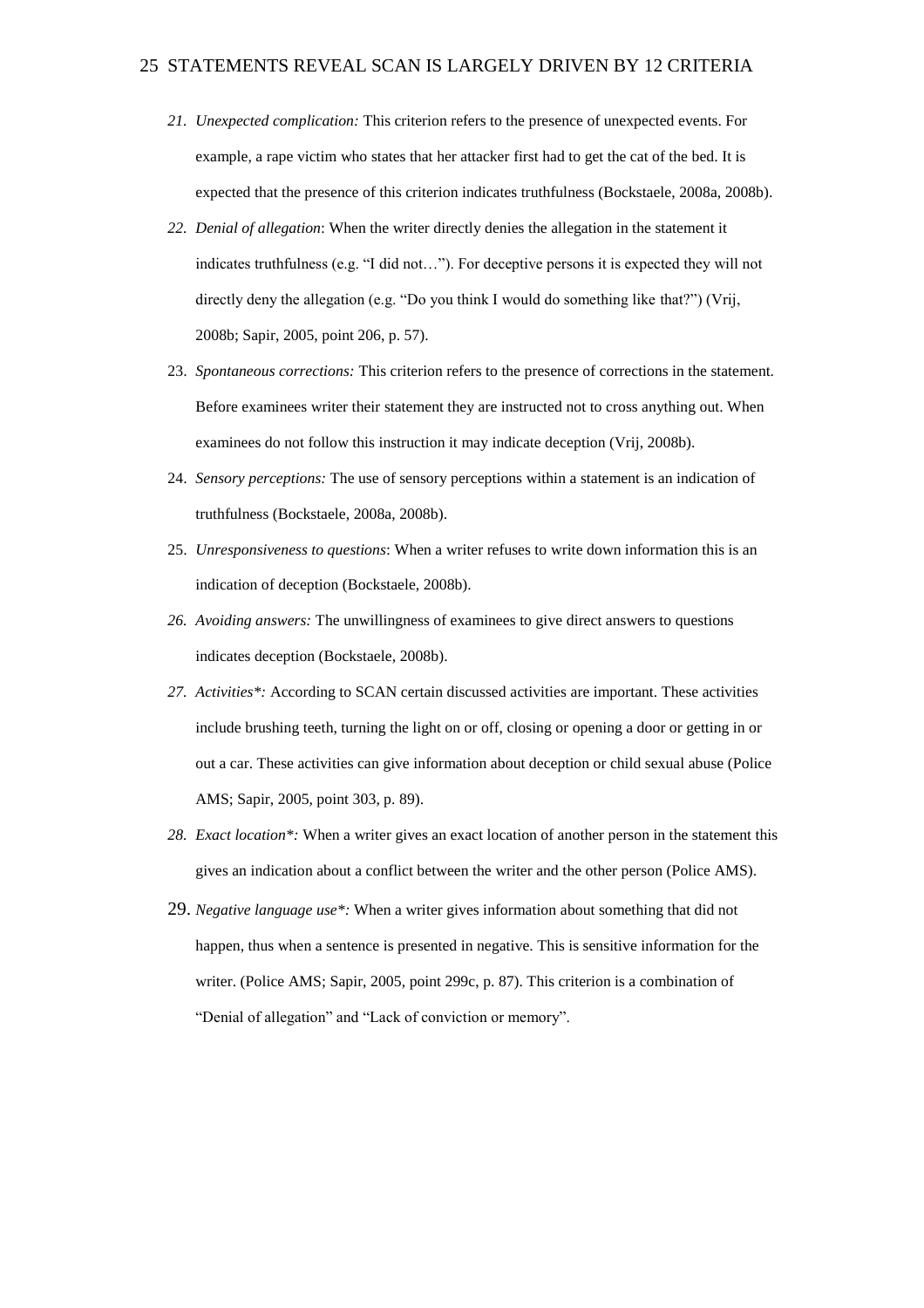- *21. Unexpected complication:* This criterion refers to the presence of unexpected events. For example, a rape victim who states that her attacker first had to get the cat of the bed. It is expected that the presence of this criterion indicates truthfulness (Bockstaele, 2008a, 2008b).
- *22. Denial of allegation*: When the writer directly denies the allegation in the statement it indicates truthfulness (e.g. "I did not…"). For deceptive persons it is expected they will not directly deny the allegation (e.g. "Do you think I would do something like that?") (Vrij, 2008b; Sapir, 2005, point 206, p. 57).
- 23. *Spontaneous corrections:* This criterion refers to the presence of corrections in the statement. Before examinees writer their statement they are instructed not to cross anything out. When examinees do not follow this instruction it may indicate deception (Vrij, 2008b).
- 24. *Sensory perceptions:* The use of sensory perceptions within a statement is an indication of truthfulness (Bockstaele, 2008a, 2008b).
- 25. *Unresponsiveness to questions*: When a writer refuses to write down information this is an indication of deception (Bockstaele, 2008b).
- *26. Avoiding answers:* The unwillingness of examinees to give direct answers to questions indicates deception (Bockstaele, 2008b).
- *27. Activities\*:* According to SCAN certain discussed activities are important. These activities include brushing teeth, turning the light on or off, closing or opening a door or getting in or out a car. These activities can give information about deception or child sexual abuse (Police AMS; Sapir, 2005, point 303, p. 89).
- *28. Exact location\*:* When a writer gives an exact location of another person in the statement this gives an indication about a conflict between the writer and the other person (Police AMS).
- 29. *Negative language use\*:* When a writer gives information about something that did not happen, thus when a sentence is presented in negative. This is sensitive information for the writer. (Police AMS; Sapir, 2005, point 299c, p. 87). This criterion is a combination of "Denial of allegation" and "Lack of conviction or memory".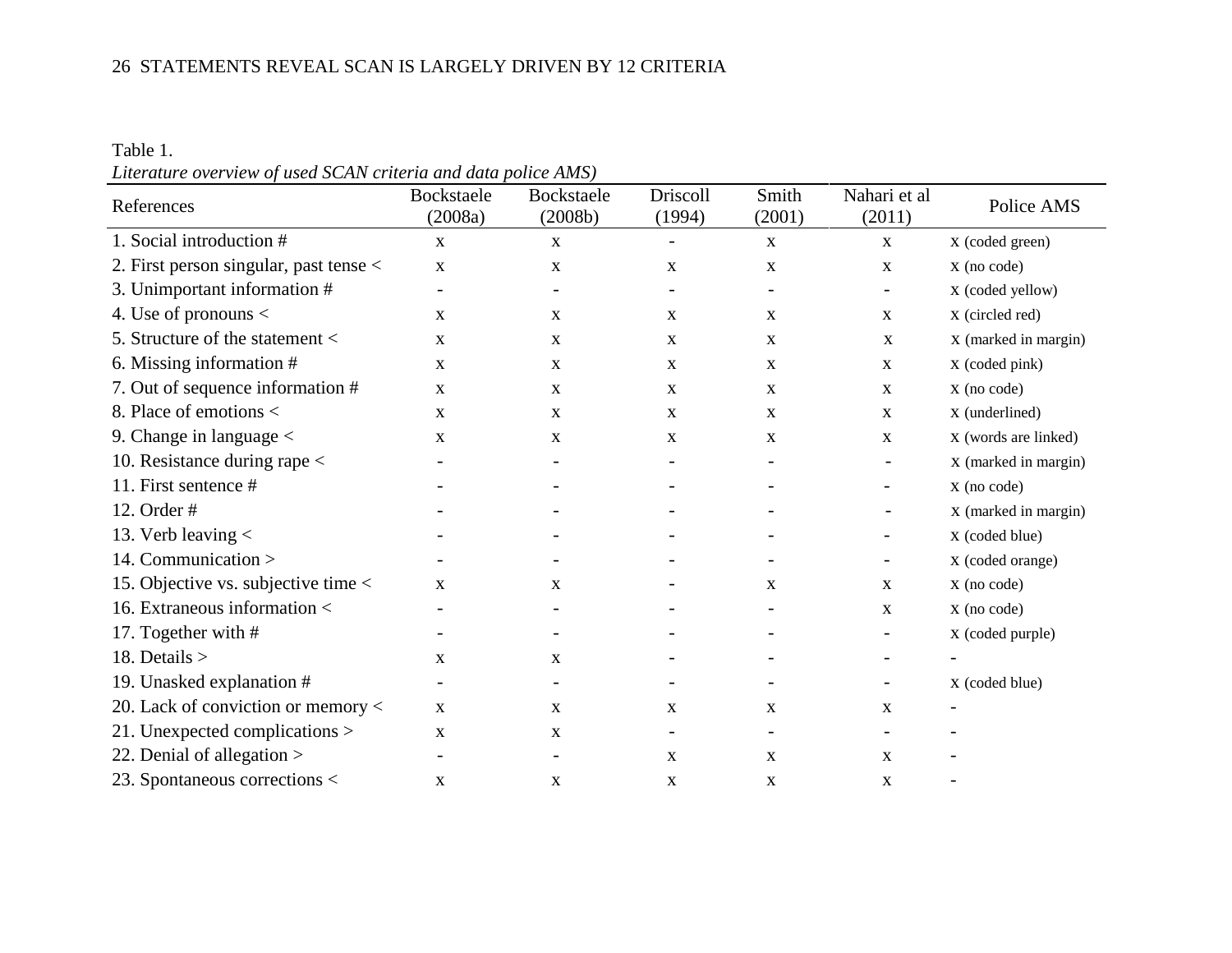Table 1. *Literature overview of used SCAN criteria and data police AMS)*

| References                                 | Bockstaele<br>(2008a) | Bockstaele<br>(2008b)    | Driscoll<br>(1994)       | Smith<br>(2001) | Nahari et al<br>(2011)   | Police AMS           |
|--------------------------------------------|-----------------------|--------------------------|--------------------------|-----------------|--------------------------|----------------------|
| 1. Social introduction #                   | $\mathbf{X}$          | $\mathbf{X}$             | $\overline{\phantom{a}}$ | $\mathbf X$     | $\mathbf X$              | X (coded green)      |
| 2. First person singular, past tense $\lt$ | $\mathbf{X}$          | X                        | $\mathbf X$              | X               | $\mathbf X$              | $X$ (no code)        |
| 3. Unimportant information #               |                       |                          | $\overline{\phantom{a}}$ |                 | $\overline{\phantom{a}}$ | X (coded yellow)     |
| 4. Use of pronouns $\lt$                   | $\mathbf{X}$          | X                        | $\mathbf X$              | $\mathbf{X}$    | X                        | X (circled red)      |
| 5. Structure of the statement $\lt$        | X                     | $\mathbf X$              | X                        | $\mathbf{X}$    | $\mathbf{X}$             | X (marked in margin) |
| 6. Missing information #                   | $\mathbf{X}$          | X                        | X                        | $\mathbf{X}$    | X                        | X (coded pink)       |
| 7. Out of sequence information #           | X                     | X                        | X                        | $\mathbf{X}$    | X                        | X (no code)          |
| 8. Place of emotions <                     | $\mathbf{X}$          | $\mathbf X$              | $\mathbf X$              | $\mathbf X$     | X                        | X (underlined)       |
| 9. Change in language $\lt$                | X                     | $\mathbf X$              | X                        | X               | $\mathbf X$              | X (words are linked) |
| 10. Resistance during rape <               |                       | $\overline{\phantom{a}}$ | $\overline{\phantom{a}}$ |                 | $\overline{\phantom{a}}$ | X (marked in margin) |
| 11. First sentence #                       |                       |                          |                          |                 | -                        | $X$ (no code)        |
| 12. Order #                                |                       |                          | $\overline{\phantom{a}}$ |                 | $\overline{\phantom{a}}$ | X (marked in margin) |
| 13. Verb leaving $\lt$                     |                       |                          |                          |                 | $\overline{\phantom{a}}$ | X (coded blue)       |
| 14. Communication >                        |                       |                          |                          |                 | $\overline{\phantom{a}}$ | X (coded orange)     |
| 15. Objective vs. subjective time $\lt$    | $\mathbf{X}$          | $\mathbf{X}$             |                          | $\mathbf{X}$    | $\mathbf{X}$             | X (no code)          |
| 16. Extraneous information <               |                       |                          |                          |                 | X                        | X (no code)          |
| 17. Together with #                        |                       |                          |                          |                 | $\overline{\phantom{a}}$ | X (coded purple)     |
| 18. Details $>$                            | $\mathbf X$           | $\mathbf X$              |                          |                 | $\overline{\phantom{a}}$ |                      |
| 19. Unasked explanation #                  |                       |                          |                          |                 | $\overline{\phantom{a}}$ | X (coded blue)       |
| 20. Lack of conviction or memory $\lt$     | $\mathbf{X}$          | $\mathbf{x}$             | $\mathbf{X}$             | X               | X                        |                      |
| 21. Unexpected complications $>$           | $\mathbf{X}$          | X                        |                          |                 |                          |                      |
| 22. Denial of allegation $>$               |                       | $\overline{\phantom{0}}$ | $\mathbf{X}$             | $\mathbf{X}$    | $\mathbf{X}$             |                      |
| 23. Spontaneous corrections <              | $\mathbf X$           | X                        | $\mathbf X$              | X               | X                        |                      |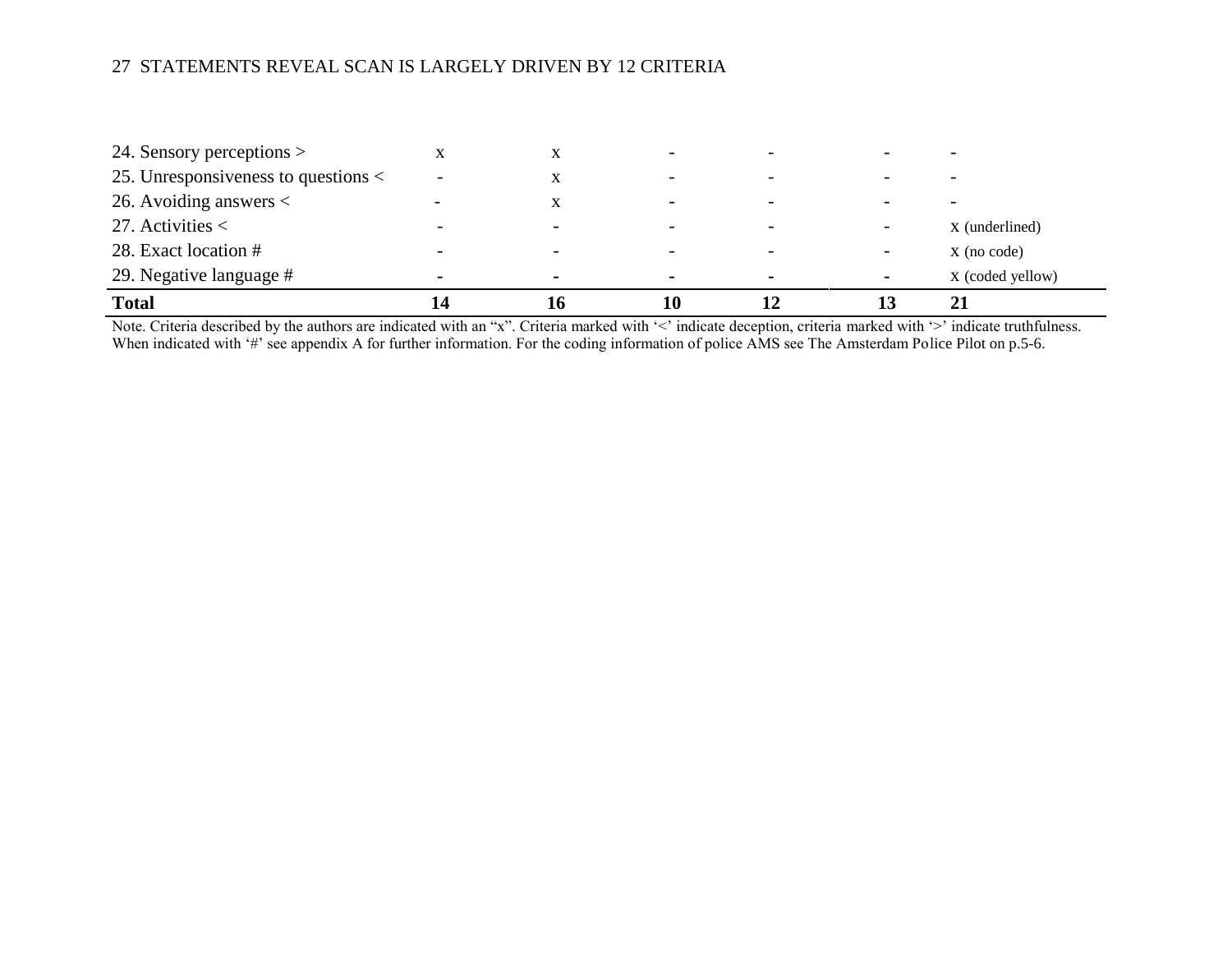| 24. Sensory perceptions >               |                          |                          |   |                          |                  |
|-----------------------------------------|--------------------------|--------------------------|---|--------------------------|------------------|
| 25. Unresponsiveness to questions $\lt$ |                          | $\overline{\phantom{0}}$ |   |                          |                  |
| 26. Avoiding answers $\lt$              | $\Lambda$                | $\overline{\phantom{0}}$ |   |                          |                  |
| 27. Activities $\lt$                    |                          |                          |   |                          | X (underlined)   |
| 28. Exact location #                    | $\overline{\phantom{0}}$ | $\overline{\phantom{0}}$ |   | $\overline{\phantom{a}}$ | $X$ (no code)    |
| 29. Negative language #                 | $\blacksquare$           | $\blacksquare$           | - | ٠                        | X (coded yellow) |
| <b>Total</b>                            |                          | 10                       |   |                          |                  |

Note. Criteria described by the authors are indicated with an "x". Criteria marked with '<' indicate deception, criteria marked with '>' indicate truthfulness. When indicated with '#' see appendix A for further information. For the coding information of police AMS see The Amsterdam Police Pilot on p.5-6.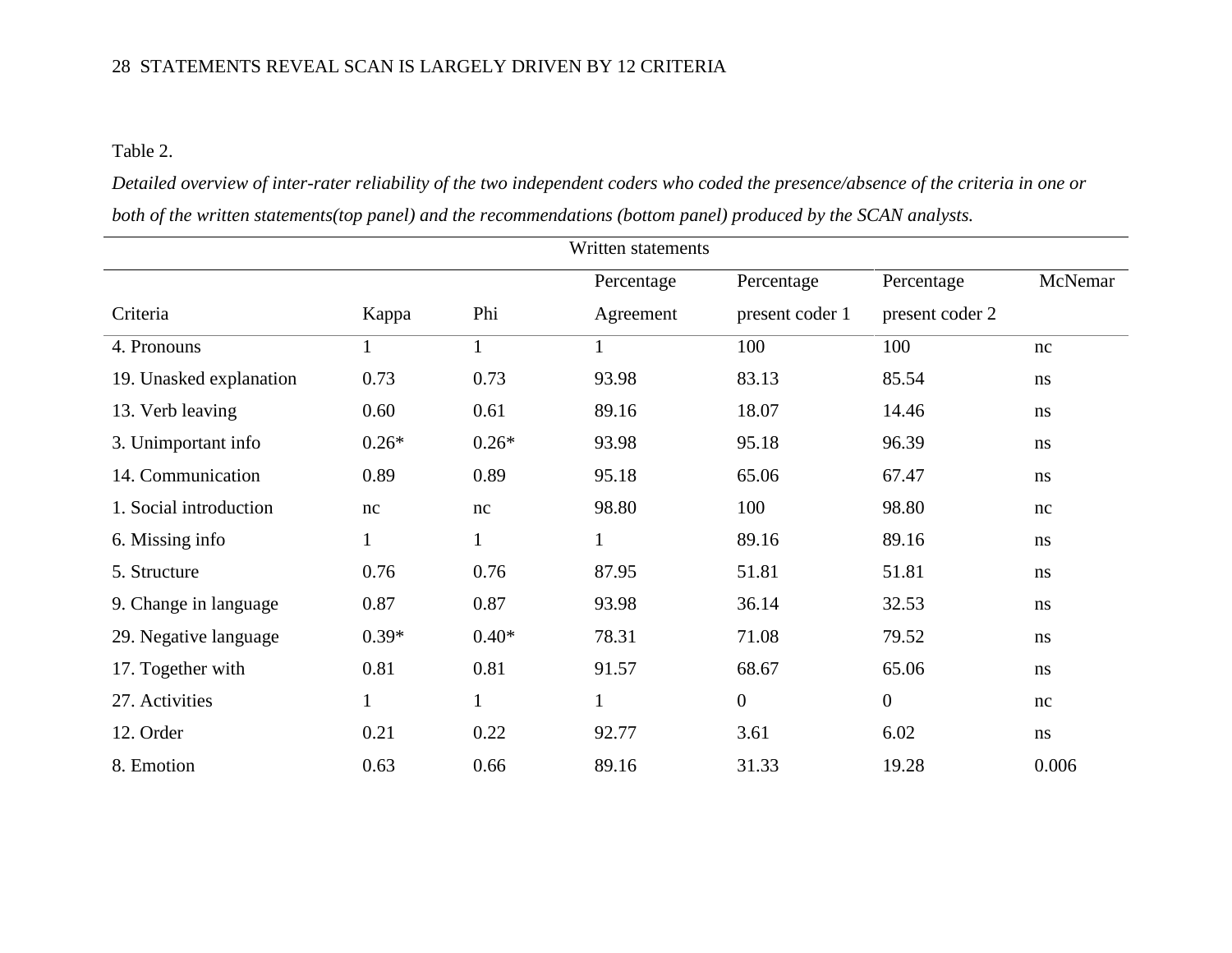Table 2.

*Detailed overview of inter-rater reliability of the two independent coders who coded the presence/absence of the criteria in one or both of the written statements(top panel) and the recommendations (bottom panel) produced by the SCAN analysts.*

|                         |              |              | Written statements |                  |                 |         |
|-------------------------|--------------|--------------|--------------------|------------------|-----------------|---------|
|                         |              |              | Percentage         | Percentage       | Percentage      | McNemar |
| Criteria                | Kappa        | Phi          | Agreement          | present coder 1  | present coder 2 |         |
| 4. Pronouns             |              | $\mathbf{1}$ | $\mathbf{1}$       | 100              | 100             | nc      |
| 19. Unasked explanation | 0.73         | 0.73         | 93.98              | 83.13            | 85.54           | ns      |
| 13. Verb leaving        | 0.60         | 0.61         | 89.16              | 18.07            | 14.46           | ns      |
| 3. Unimportant info     | $0.26*$      | $0.26*$      | 93.98              | 95.18            | 96.39           | ns      |
| 14. Communication       | 0.89         | 0.89         | 95.18              | 65.06            | 67.47           | ns      |
| 1. Social introduction  | nc           | nc           | 98.80              | 100              | 98.80           | nc      |
| 6. Missing info         | $\mathbf{1}$ | $\mathbf{1}$ | $\mathbf{1}$       | 89.16            | 89.16           | ns      |
| 5. Structure            | 0.76         | 0.76         | 87.95              | 51.81            | 51.81           | ns      |
| 9. Change in language   | 0.87         | 0.87         | 93.98              | 36.14            | 32.53           | ns      |
| 29. Negative language   | $0.39*$      | $0.40*$      | 78.31              | 71.08            | 79.52           | ns      |
| 17. Together with       | 0.81         | 0.81         | 91.57              | 68.67            | 65.06           | ns      |
| 27. Activities          | $\mathbf{1}$ |              | 1                  | $\boldsymbol{0}$ | $\overline{0}$  | nc      |
| 12. Order               | 0.21         | 0.22         | 92.77              | 3.61             | 6.02            | ns      |
| 8. Emotion              | 0.63         | 0.66         | 89.16              | 31.33            | 19.28           | 0.006   |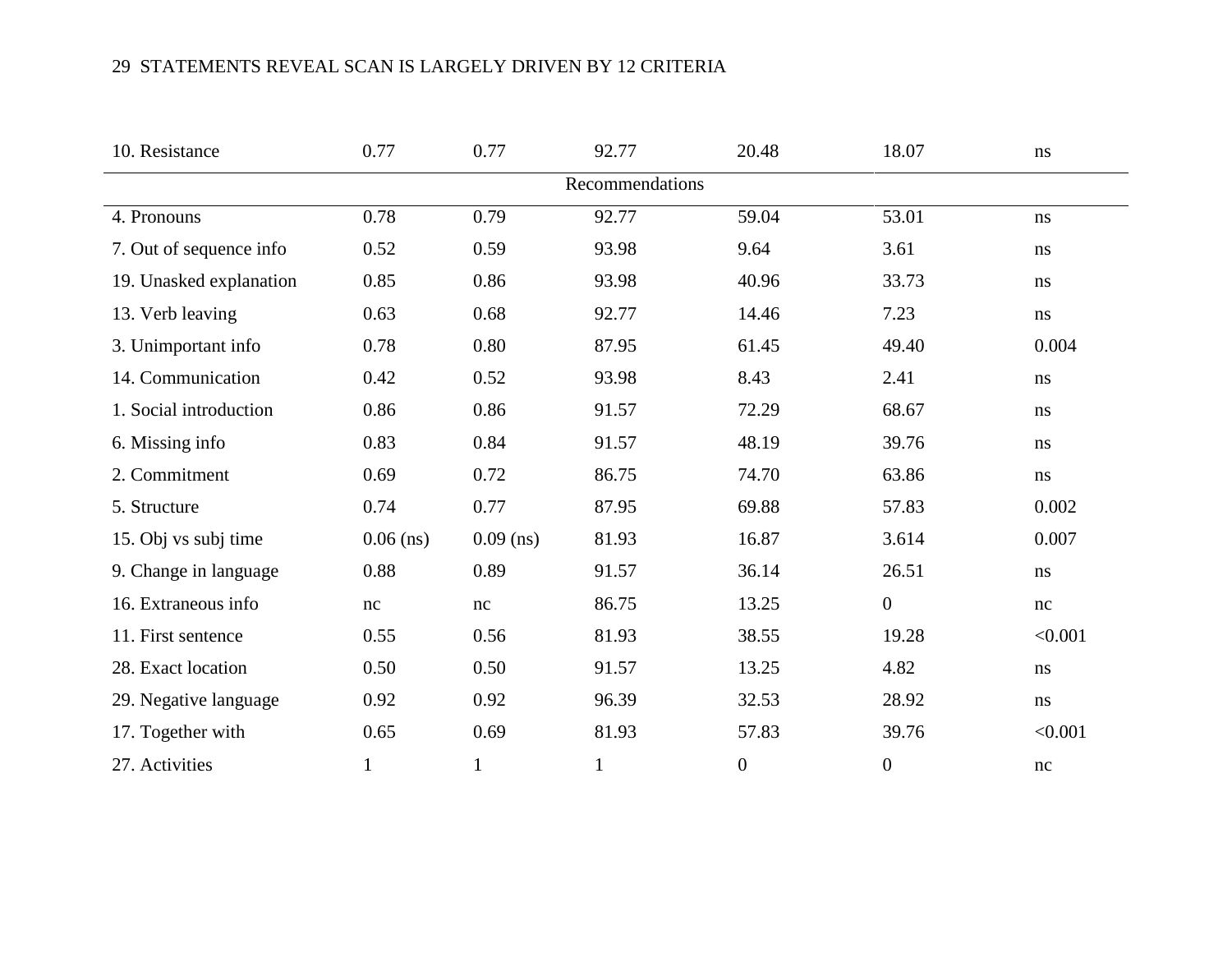| 10. Resistance          | 0.77        | 0.77         | 92.77        | 20.48            | 18.07            | ns       |  |  |  |  |  |
|-------------------------|-------------|--------------|--------------|------------------|------------------|----------|--|--|--|--|--|
| Recommendations         |             |              |              |                  |                  |          |  |  |  |  |  |
| 4. Pronouns             | 0.78        | 0.79         | 92.77        | 59.04            | 53.01            | ns       |  |  |  |  |  |
| 7. Out of sequence info | 0.52        | 0.59         | 93.98        | 9.64             | 3.61             | ns       |  |  |  |  |  |
| 19. Unasked explanation | 0.85        | 0.86         | 93.98        | 40.96            | 33.73            | $\rm ns$ |  |  |  |  |  |
| 13. Verb leaving        | 0.63        | 0.68         | 92.77        | 14.46            | 7.23             | $\rm ns$ |  |  |  |  |  |
| 3. Unimportant info     | 0.78        | 0.80         | 87.95        | 61.45            | 49.40            | 0.004    |  |  |  |  |  |
| 14. Communication       | 0.42        | 0.52         | 93.98        | 8.43             | 2.41             | $\rm ns$ |  |  |  |  |  |
| 1. Social introduction  | 0.86        | 0.86         | 91.57        | 72.29            | 68.67            | ns       |  |  |  |  |  |
| 6. Missing info         | 0.83        | 0.84         | 91.57        | 48.19            | 39.76            | ns       |  |  |  |  |  |
| 2. Commitment           | 0.69        | 0.72         | 86.75        | 74.70            | 63.86            | ns       |  |  |  |  |  |
| 5. Structure            | 0.74        | 0.77         | 87.95        | 69.88            | 57.83            | 0.002    |  |  |  |  |  |
| 15. Obj vs subj time    | $0.06$ (ns) | $0.09$ (ns)  | 81.93        | 16.87            | 3.614            | 0.007    |  |  |  |  |  |
| 9. Change in language   | 0.88        | 0.89         | 91.57        | 36.14            | 26.51            | ns       |  |  |  |  |  |
| 16. Extraneous info     | nc          | nc           | 86.75        | 13.25            | $\boldsymbol{0}$ | nc       |  |  |  |  |  |
| 11. First sentence      | 0.55        | 0.56         | 81.93        | 38.55            | 19.28            | < 0.001  |  |  |  |  |  |
| 28. Exact location      | 0.50        | 0.50         | 91.57        | 13.25            | 4.82             | $\rm ns$ |  |  |  |  |  |
| 29. Negative language   | 0.92        | 0.92         | 96.39        | 32.53            | 28.92            | $\rm ns$ |  |  |  |  |  |
| 17. Together with       | 0.65        | 0.69         | 81.93        | 57.83            | 39.76            | < 0.001  |  |  |  |  |  |
| 27. Activities          | 1           | $\mathbf{1}$ | $\mathbf{1}$ | $\boldsymbol{0}$ | $\boldsymbol{0}$ | $\rm nc$ |  |  |  |  |  |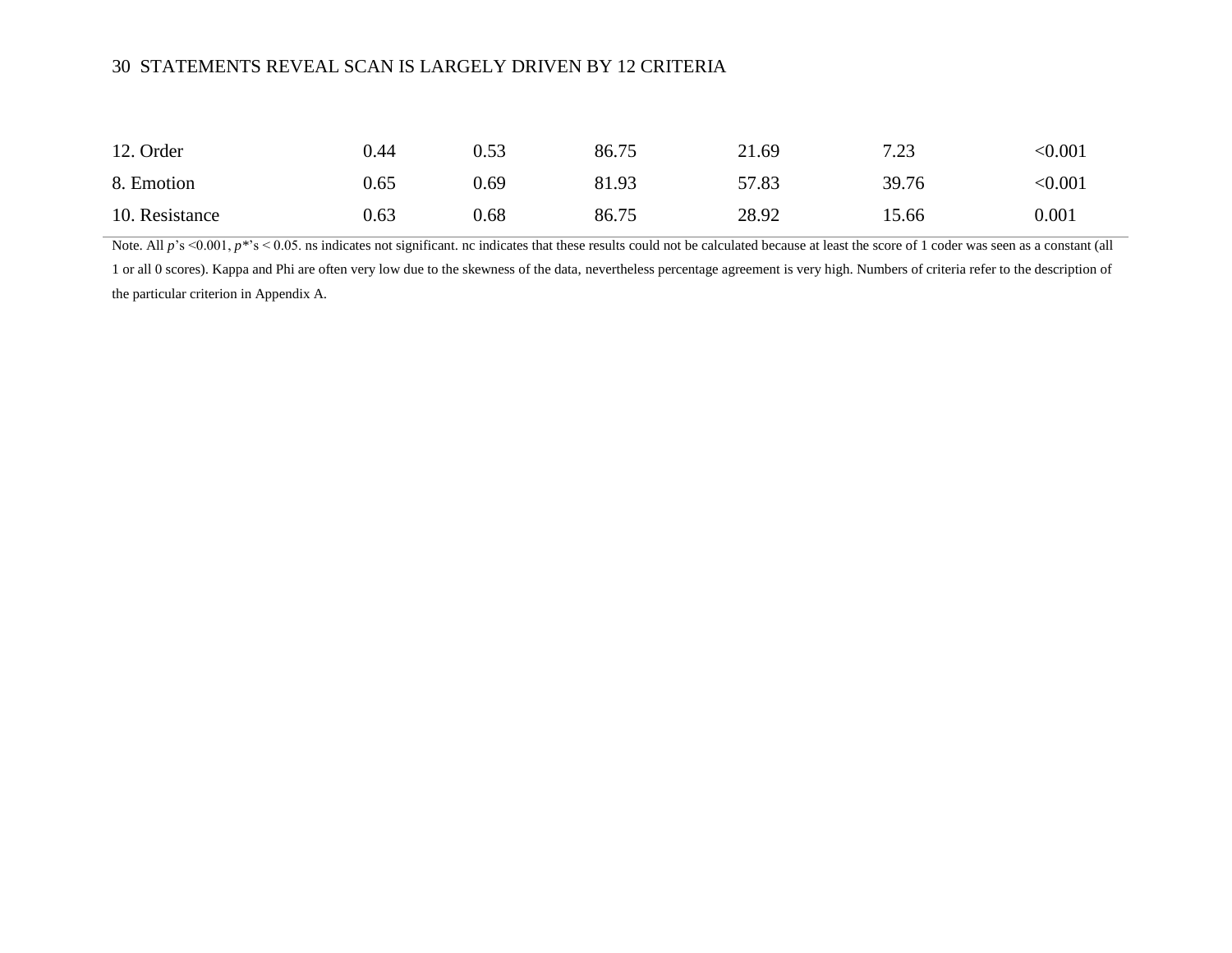| 12. Order      | 0.44 | 0.53 | 86.75 | 21.69 | 7.23  | < 0.001 |
|----------------|------|------|-------|-------|-------|---------|
| 8. Emotion     | 0.65 | 0.69 | 81.93 | 57.83 | 39.76 | < 0.001 |
| 10. Resistance | 0.63 | 0.68 | 86.75 | 28.92 | 15.66 | 0.001   |

Note. All  $p$ 's <0.001,  $p$ <sup>\*'s</sup> < 0.05. ns indicates not significant. nc indicates that these results could not be calculated because at least the score of 1 coder was seen as a constant (all 1 or all 0 scores). Kappa and Phi are often very low due to the skewness of the data, nevertheless percentage agreement is very high. Numbers of criteria refer to the description of the particular criterion in Appendix A.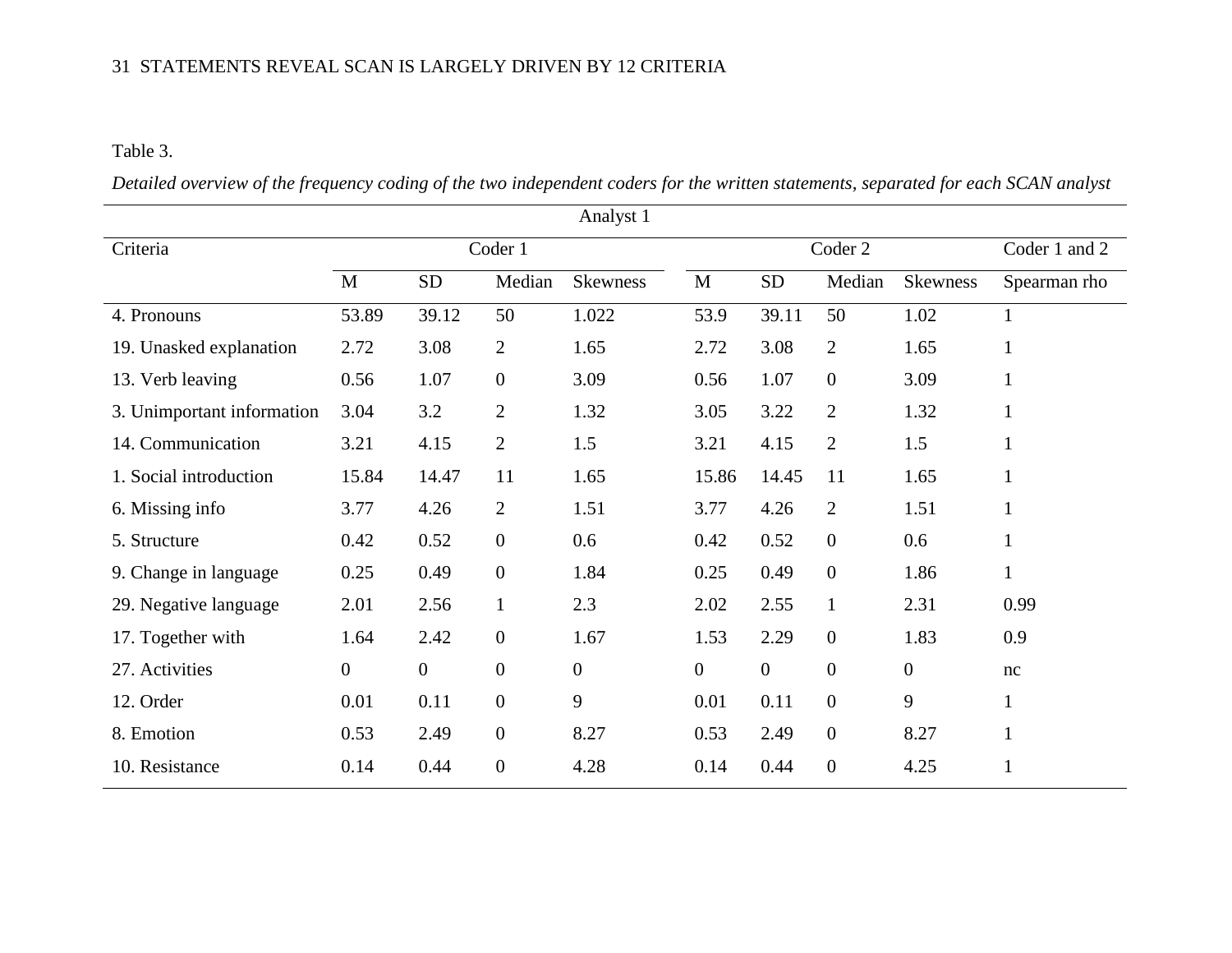## Table 3.

*Detailed overview of the frequency coding of the two independent coders for the written statements, separated for each SCAN analyst*

| Analyst 1                  |                |                |                  |                  |                  |                  |                  |                 |               |
|----------------------------|----------------|----------------|------------------|------------------|------------------|------------------|------------------|-----------------|---------------|
| Criteria                   | Coder 1        |                |                  |                  |                  |                  | Coder 2          |                 | Coder 1 and 2 |
|                            | M              | <b>SD</b>      | Median           | <b>Skewness</b>  | M                | <b>SD</b>        | Median           | <b>Skewness</b> | Spearman rho  |
| 4. Pronouns                | 53.89          | 39.12          | 50               | 1.022            | 53.9             | 39.11            | 50               | 1.02            |               |
| 19. Unasked explanation    | 2.72           | 3.08           | $\overline{2}$   | 1.65             | 2.72             | 3.08             | $\overline{2}$   | 1.65            | $\mathbf{1}$  |
| 13. Verb leaving           | 0.56           | 1.07           | $\overline{0}$   | 3.09             | 0.56             | 1.07             | $\boldsymbol{0}$ | 3.09            | $\mathbf{1}$  |
| 3. Unimportant information | 3.04           | 3.2            | $\overline{2}$   | 1.32             | 3.05             | 3.22             | $\overline{2}$   | 1.32            | 1             |
| 14. Communication          | 3.21           | 4.15           | $\overline{2}$   | 1.5              | 3.21             | 4.15             | $\overline{2}$   | 1.5             | 1             |
| 1. Social introduction     | 15.84          | 14.47          | 11               | 1.65             | 15.86            | 14.45            | 11               | 1.65            | $\mathbf{1}$  |
| 6. Missing info            | 3.77           | 4.26           | $\overline{2}$   | 1.51             | 3.77             | 4.26             | $\overline{2}$   | 1.51            | $\mathbf{1}$  |
| 5. Structure               | 0.42           | 0.52           | $\boldsymbol{0}$ | 0.6              | 0.42             | 0.52             | $\boldsymbol{0}$ | 0.6             | $\mathbf{1}$  |
| 9. Change in language      | 0.25           | 0.49           | $\overline{0}$   | 1.84             | 0.25             | 0.49             | $\boldsymbol{0}$ | 1.86            | $\mathbf{1}$  |
| 29. Negative language      | 2.01           | 2.56           | $\mathbf{1}$     | 2.3              | 2.02             | 2.55             | $\mathbf{1}$     | 2.31            | 0.99          |
| 17. Together with          | 1.64           | 2.42           | $\overline{0}$   | 1.67             | 1.53             | 2.29             | $\boldsymbol{0}$ | 1.83            | 0.9           |
| 27. Activities             | $\overline{0}$ | $\overline{0}$ | $\overline{0}$   | $\boldsymbol{0}$ | $\boldsymbol{0}$ | $\boldsymbol{0}$ | $\boldsymbol{0}$ | $\mathbf{0}$    | nc            |
| 12. Order                  | 0.01           | 0.11           | $\mathbf{0}$     | 9                | 0.01             | 0.11             | $\overline{0}$   | 9               | $\mathbf{1}$  |
| 8. Emotion                 | 0.53           | 2.49           | $\mathbf{0}$     | 8.27             | 0.53             | 2.49             | $\boldsymbol{0}$ | 8.27            | $\mathbf{1}$  |
| 10. Resistance             | 0.14           | 0.44           | $\boldsymbol{0}$ | 4.28             | 0.14             | 0.44             | $\boldsymbol{0}$ | 4.25            |               |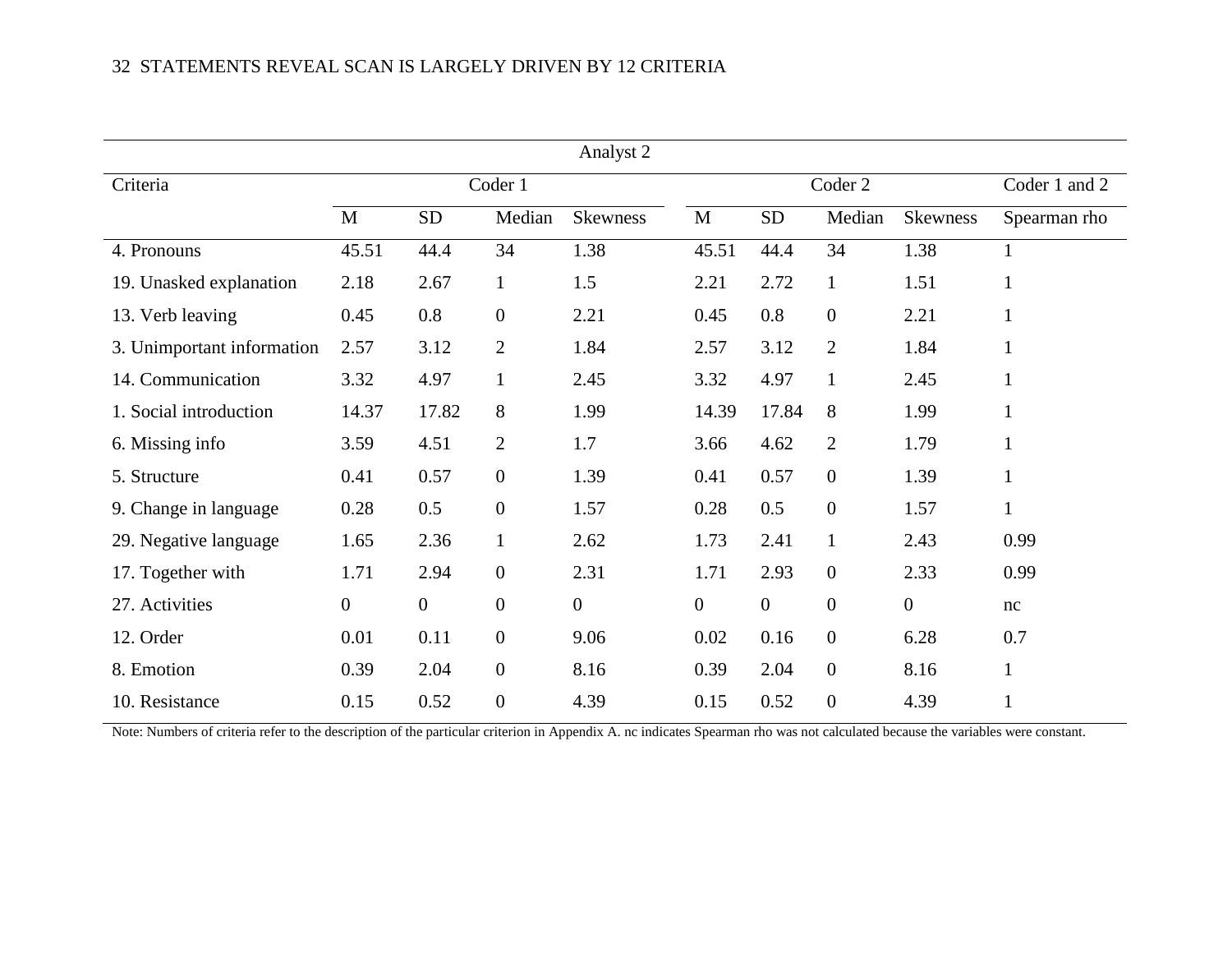| Analyst 2                  |                |              |                  |                 |                  |                  |                  |                 |               |
|----------------------------|----------------|--------------|------------------|-----------------|------------------|------------------|------------------|-----------------|---------------|
| Criteria                   |                |              | Coder 1          |                 |                  |                  | Coder 2          |                 | Coder 1 and 2 |
|                            | $\mathbf M$    | <b>SD</b>    | Median           | <b>Skewness</b> | M                | <b>SD</b>        | Median           | <b>Skewness</b> | Spearman rho  |
| 4. Pronouns                | 45.51          | 44.4         | 34               | 1.38            | 45.51            | 44.4             | 34               | 1.38            | 1             |
| 19. Unasked explanation    | 2.18           | 2.67         | $\mathbf{1}$     | 1.5             | 2.21             | 2.72             | $\mathbf{1}$     | 1.51            | 1             |
| 13. Verb leaving           | 0.45           | 0.8          | $\mathbf{0}$     | 2.21            | 0.45             | 0.8              | $\overline{0}$   | 2.21            | 1             |
| 3. Unimportant information | 2.57           | 3.12         | $\overline{2}$   | 1.84            | 2.57             | 3.12             | $\overline{2}$   | 1.84            | $\mathbf{1}$  |
| 14. Communication          | 3.32           | 4.97         | $\mathbf{1}$     | 2.45            | 3.32             | 4.97             | 1                | 2.45            | 1             |
| 1. Social introduction     | 14.37          | 17.82        | 8                | 1.99            | 14.39            | 17.84            | 8                | 1.99            | 1             |
| 6. Missing info            | 3.59           | 4.51         | $\overline{2}$   | 1.7             | 3.66             | 4.62             | $\overline{2}$   | 1.79            | 1             |
| 5. Structure               | 0.41           | 0.57         | $\overline{0}$   | 1.39            | 0.41             | 0.57             | $\boldsymbol{0}$ | 1.39            | $\mathbf{1}$  |
| 9. Change in language      | 0.28           | 0.5          | $\overline{0}$   | 1.57            | 0.28             | 0.5              | $\boldsymbol{0}$ | 1.57            | $\mathbf{1}$  |
| 29. Negative language      | 1.65           | 2.36         | $\mathbf{1}$     | 2.62            | 1.73             | 2.41             | $\mathbf{1}$     | 2.43            | 0.99          |
| 17. Together with          | 1.71           | 2.94         | $\mathbf{0}$     | 2.31            | 1.71             | 2.93             | $\overline{0}$   | 2.33            | 0.99          |
| 27. Activities             | $\overline{0}$ | $\mathbf{0}$ | $\boldsymbol{0}$ | $\mathbf{0}$    | $\boldsymbol{0}$ | $\boldsymbol{0}$ | $\overline{0}$   | $\mathbf{0}$    | nc            |
| 12. Order                  | 0.01           | 0.11         | $\overline{0}$   | 9.06            | 0.02             | 0.16             | $\overline{0}$   | 6.28            | 0.7           |
| 8. Emotion                 | 0.39           | 2.04         | $\mathbf{0}$     | 8.16            | 0.39             | 2.04             | $\overline{0}$   | 8.16            | 1             |
| 10. Resistance             | 0.15           | 0.52         | $\overline{0}$   | 4.39            | 0.15             | 0.52             | $\boldsymbol{0}$ | 4.39            | 1             |

Note: Numbers of criteria refer to the description of the particular criterion in Appendix A. nc indicates Spearman rho was not calculated because the variables were constant.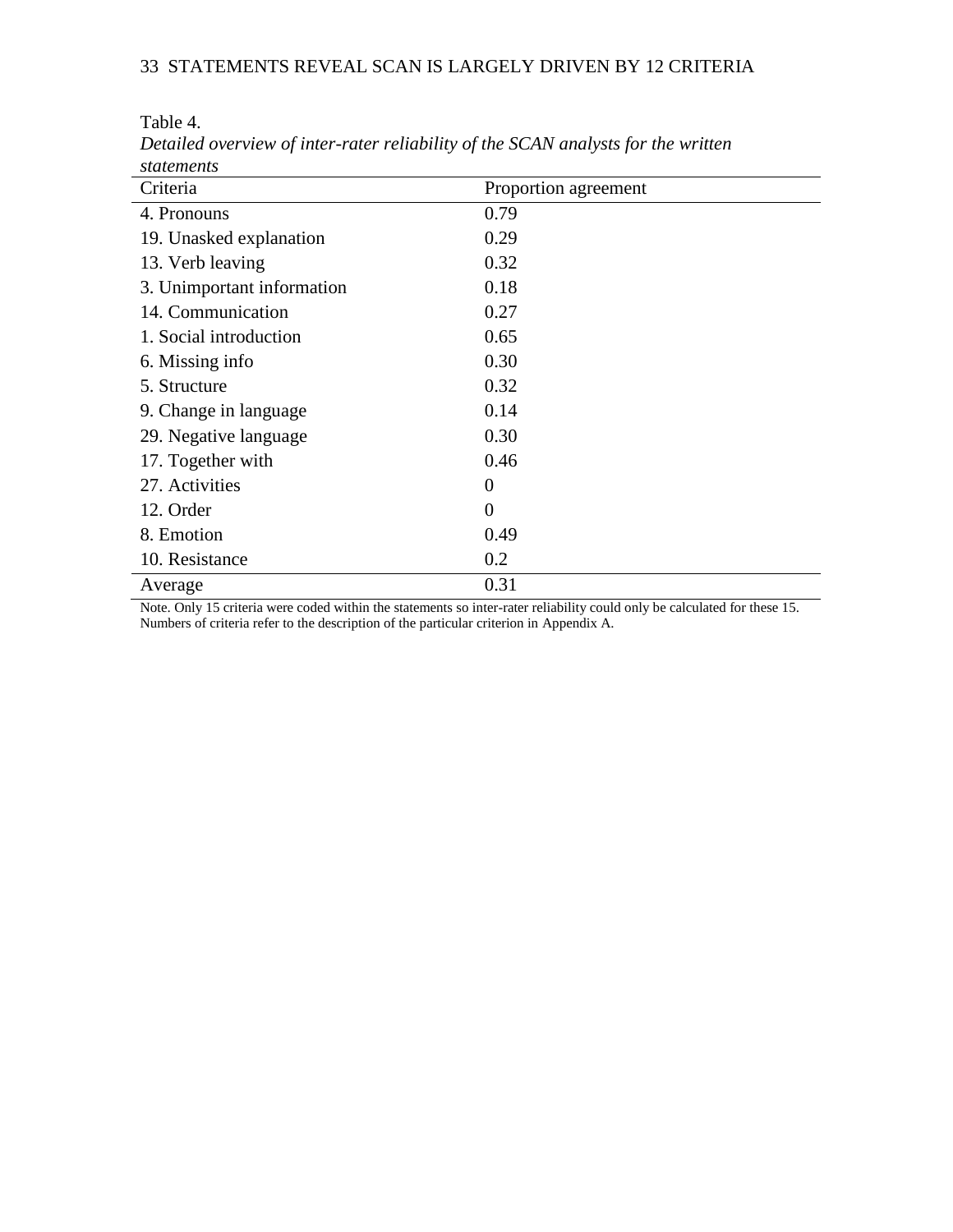Table 4.

| 50000000000                |                      |  |
|----------------------------|----------------------|--|
| Criteria                   | Proportion agreement |  |
| 4. Pronouns                | 0.79                 |  |
| 19. Unasked explanation    | 0.29                 |  |
| 13. Verb leaving           | 0.32                 |  |
| 3. Unimportant information | 0.18                 |  |
| 14. Communication          | 0.27                 |  |
| 1. Social introduction     | 0.65                 |  |
| 6. Missing info            | 0.30                 |  |
| 5. Structure               | 0.32                 |  |
| 9. Change in language      | 0.14                 |  |
| 29. Negative language      | 0.30                 |  |
| 17. Together with          | 0.46                 |  |
| 27. Activities             | $\overline{0}$       |  |
| 12. Order                  | $\overline{0}$       |  |
| 8. Emotion                 | 0.49                 |  |
| 10. Resistance             | 0.2                  |  |
| Average                    | 0.31                 |  |

*Detailed overview of inter-rater reliability of the SCAN analysts for the written statements*

Note. Only 15 criteria were coded within the statements so inter-rater reliability could only be calculated for these 15. Numbers of criteria refer to the description of the particular criterion in Appendix A.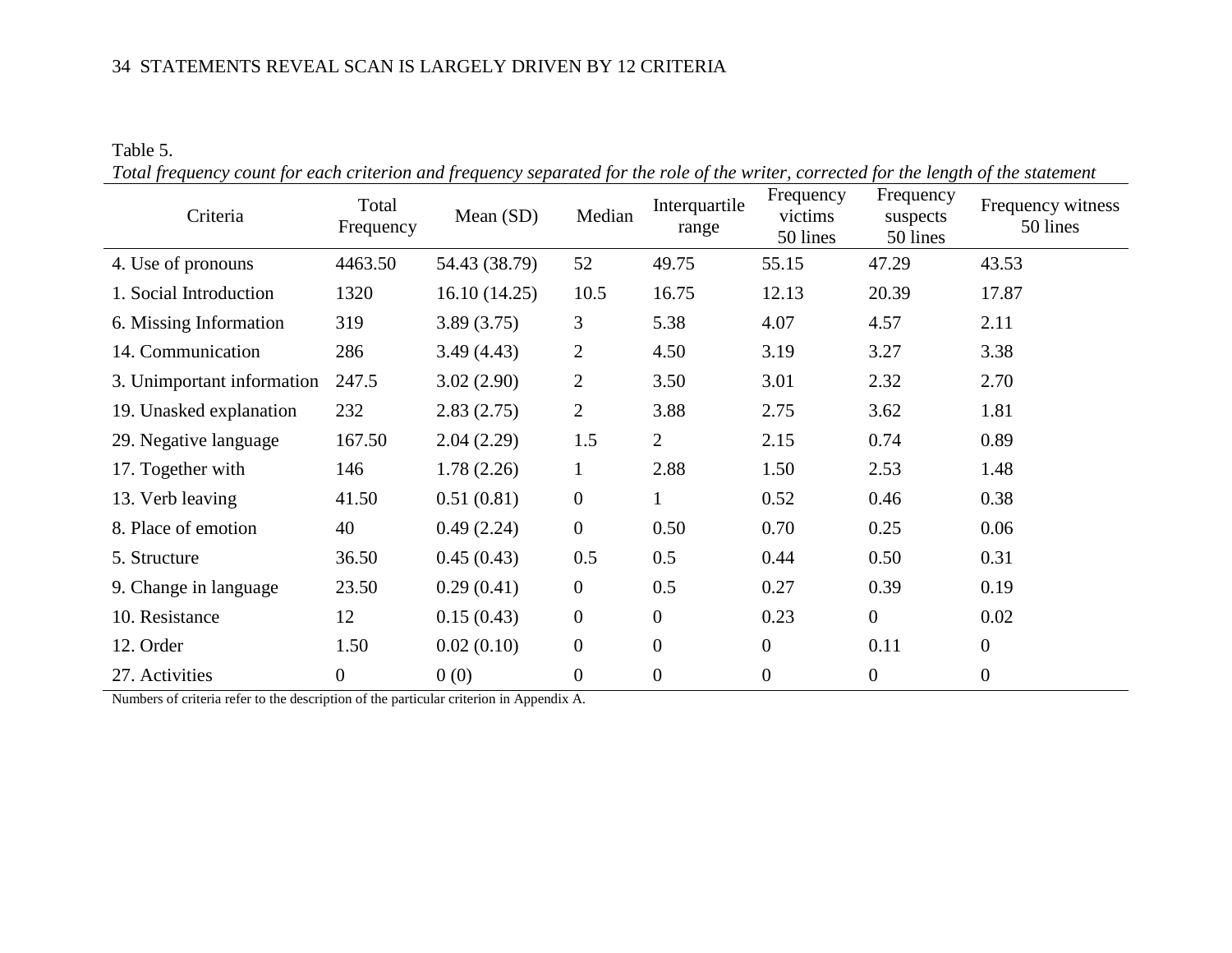## Table 5.

| Total frequency count for each criterion and frequency separated for the role of the writer, corrected for the length of the statement |  |  |  |  |  |
|----------------------------------------------------------------------------------------------------------------------------------------|--|--|--|--|--|
|                                                                                                                                        |  |  |  |  |  |

| Criteria                   | Total<br>Frequency | Mean $(SD)$   | Median           | Interquartile<br>range | Frequency<br>victims<br>50 lines | Frequency<br>suspects<br>50 lines | Frequency witness<br>50 lines |
|----------------------------|--------------------|---------------|------------------|------------------------|----------------------------------|-----------------------------------|-------------------------------|
| 4. Use of pronouns         | 4463.50            | 54.43 (38.79) | 52               | 49.75                  | 55.15                            | 47.29                             | 43.53                         |
| 1. Social Introduction     | 1320               | 16.10(14.25)  | 10.5             | 16.75                  | 12.13                            | 20.39                             | 17.87                         |
| 6. Missing Information     | 319                | 3.89(3.75)    | 3                | 5.38                   | 4.07                             | 4.57                              | 2.11                          |
| 14. Communication          | 286                | 3.49(4.43)    | $\overline{2}$   | 4.50                   | 3.19                             | 3.27                              | 3.38                          |
| 3. Unimportant information | 247.5              | 3.02(2.90)    | $\mathfrak{2}$   | 3.50                   | 3.01                             | 2.32                              | 2.70                          |
| 19. Unasked explanation    | 232                | 2.83(2.75)    | $\overline{2}$   | 3.88                   | 2.75                             | 3.62                              | 1.81                          |
| 29. Negative language      | 167.50             | 2.04(2.29)    | 1.5              | $\overline{2}$         | 2.15                             | 0.74                              | 0.89                          |
| 17. Together with          | 146                | 1.78(2.26)    | $\mathbf{1}$     | 2.88                   | 1.50                             | 2.53                              | 1.48                          |
| 13. Verb leaving           | 41.50              | 0.51(0.81)    | $\boldsymbol{0}$ | $\mathbf{1}$           | 0.52                             | 0.46                              | 0.38                          |
| 8. Place of emotion        | 40                 | 0.49(2.24)    | $\overline{0}$   | 0.50                   | 0.70                             | 0.25                              | 0.06                          |
| 5. Structure               | 36.50              | 0.45(0.43)    | 0.5              | 0.5                    | 0.44                             | 0.50                              | 0.31                          |
| 9. Change in language      | 23.50              | 0.29(0.41)    | $\overline{0}$   | 0.5                    | 0.27                             | 0.39                              | 0.19                          |
| 10. Resistance             | 12                 | 0.15(0.43)    | $\boldsymbol{0}$ | $\boldsymbol{0}$       | 0.23                             | $\mathbf{0}$                      | 0.02                          |
| 12. Order                  | 1.50               | 0.02(0.10)    | $\boldsymbol{0}$ | $\boldsymbol{0}$       | $\boldsymbol{0}$                 | 0.11                              | $\boldsymbol{0}$              |
| 27. Activities             | $\boldsymbol{0}$   | 0(0)          | $\boldsymbol{0}$ | $\boldsymbol{0}$       | $\boldsymbol{0}$                 | $\boldsymbol{0}$                  | $\boldsymbol{0}$              |

Numbers of criteria refer to the description of the particular criterion in Appendix A.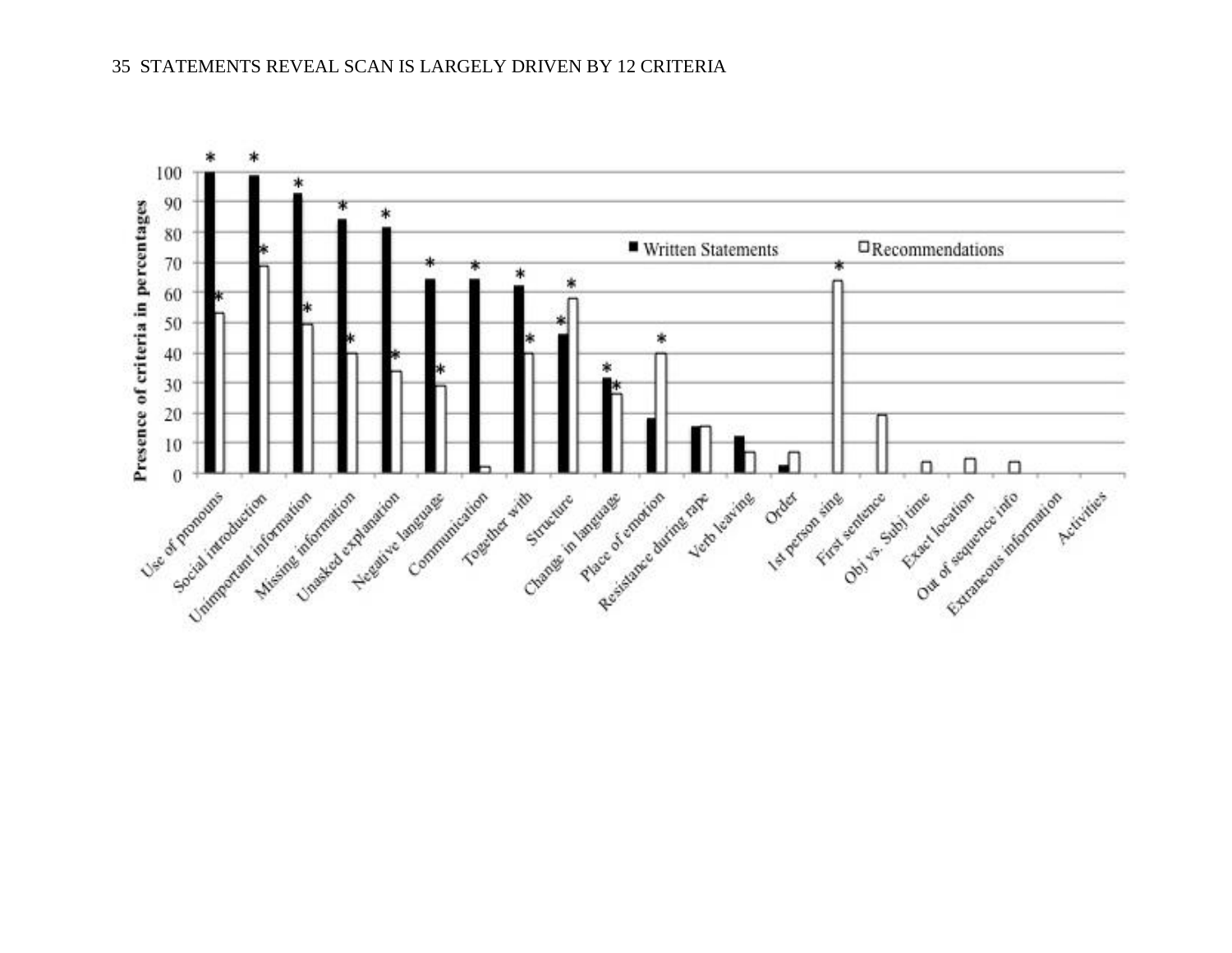

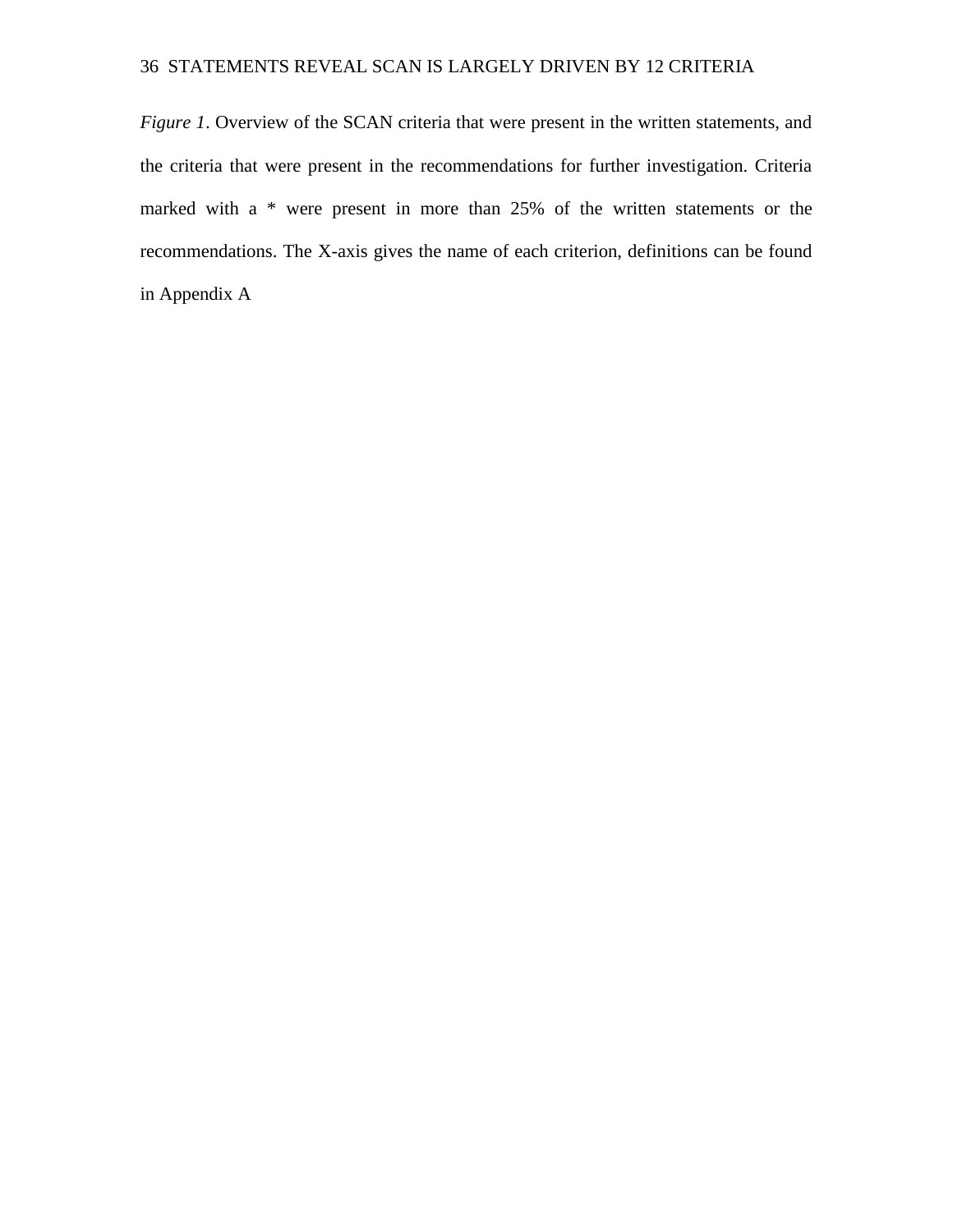*Figure 1*. Overview of the SCAN criteria that were present in the written statements, and the criteria that were present in the recommendations for further investigation. Criteria marked with a \* were present in more than 25% of the written statements or the recommendations. The X-axis gives the name of each criterion, definitions can be found in Appendix A